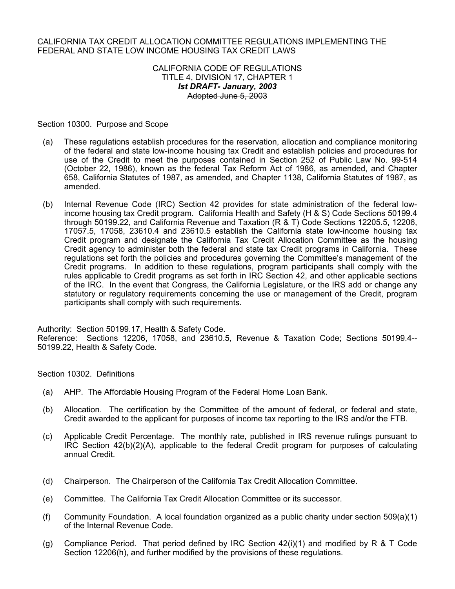#### CALIFORNIA TAX CREDIT ALLOCATION COMMITTEE REGULATIONS IMPLEMENTING THE FEDERAL AND STATE LOW INCOME HOUSING TAX CREDIT LAWS

#### CALIFORNIA CODE OF REGULATIONS TITLE 4, DIVISION 17, CHAPTER 1 *Ist DRAFT- January, 2003*  Adopted June 5, 2003

#### Section 10300. Purpose and Scope

- (a) These regulations establish procedures for the reservation, allocation and compliance monitoring of the federal and state low-income housing tax Credit and establish policies and procedures for use of the Credit to meet the purposes contained in Section 252 of Public Law No. 99-514 (October 22, 1986), known as the federal Tax Reform Act of 1986, as amended, and Chapter 658, California Statutes of 1987, as amended, and Chapter 1138, California Statutes of 1987, as amended.
- (b) Internal Revenue Code (IRC) Section 42 provides for state administration of the federal lowincome housing tax Credit program. California Health and Safety (H & S) Code Sections 50199.4 through 50199.22, and California Revenue and Taxation (R & T) Code Sections 12205.5, 12206, 17057.5, 17058, 23610.4 and 23610.5 establish the California state low-income housing tax Credit program and designate the California Tax Credit Allocation Committee as the housing Credit agency to administer both the federal and state tax Credit programs in California. These regulations set forth the policies and procedures governing the Committee's management of the Credit programs. In addition to these regulations, program participants shall comply with the rules applicable to Credit programs as set forth in IRC Section 42, and other applicable sections of the IRC. In the event that Congress, the California Legislature, or the IRS add or change any statutory or regulatory requirements concerning the use or management of the Credit, program participants shall comply with such requirements.

Authority: Section 50199.17, Health & Safety Code. Reference: Sections 12206, 17058, and 23610.5, Revenue & Taxation Code; Sections 50199.4-- 50199.22, Health & Safety Code.

Section 10302. Definitions

- (a) AHP. The Affordable Housing Program of the Federal Home Loan Bank.
- (b) Allocation. The certification by the Committee of the amount of federal, or federal and state, Credit awarded to the applicant for purposes of income tax reporting to the IRS and/or the FTB.
- (c) Applicable Credit Percentage. The monthly rate, published in IRS revenue rulings pursuant to IRC Section 42(b)(2)(A), applicable to the federal Credit program for purposes of calculating annual Credit.
- (d) Chairperson. The Chairperson of the California Tax Credit Allocation Committee.
- (e) Committee. The California Tax Credit Allocation Committee or its successor.
- (f) Community Foundation. A local foundation organized as a public charity under section 509(a)(1) of the Internal Revenue Code.
- (g) Compliance Period. That period defined by IRC Section  $42(i)(1)$  and modified by R & T Code Section 12206(h), and further modified by the provisions of these regulations.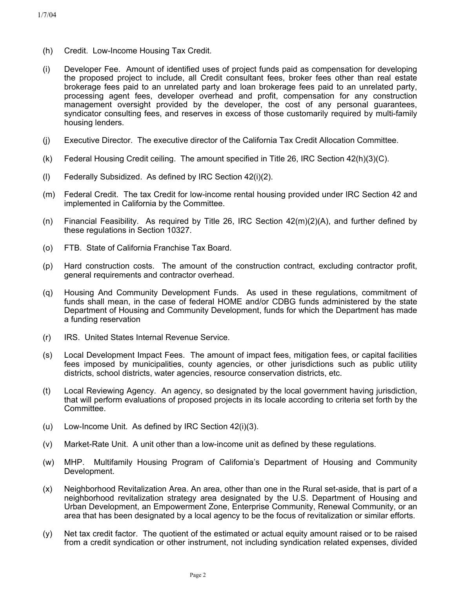- (h) Credit. Low-Income Housing Tax Credit.
- (i) Developer Fee. Amount of identified uses of project funds paid as compensation for developing the proposed project to include, all Credit consultant fees, broker fees other than real estate brokerage fees paid to an unrelated party and loan brokerage fees paid to an unrelated party, processing agent fees, developer overhead and profit, compensation for any construction management oversight provided by the developer, the cost of any personal guarantees, syndicator consulting fees, and reserves in excess of those customarily required by multi-family housing lenders.
- (j) Executive Director. The executive director of the California Tax Credit Allocation Committee.
- (k) Federal Housing Credit ceiling. The amount specified in Title 26, IRC Section 42(h)(3)(C).
- (l) Federally Subsidized. As defined by IRC Section 42(i)(2).
- (m) Federal Credit. The tax Credit for low-income rental housing provided under IRC Section 42 and implemented in California by the Committee.
- (n) Financial Feasibility. As required by Title 26, IRC Section  $42(m)(2)(A)$ , and further defined by these regulations in Section 10327.
- (o) FTB. State of California Franchise Tax Board.
- (p) Hard construction costs. The amount of the construction contract, excluding contractor profit, general requirements and contractor overhead.
- (q) Housing And Community Development Funds. As used in these regulations, commitment of funds shall mean, in the case of federal HOME and/or CDBG funds administered by the state Department of Housing and Community Development, funds for which the Department has made a funding reservation
- (r) IRS. United States Internal Revenue Service.
- (s) Local Development Impact Fees. The amount of impact fees, mitigation fees, or capital facilities fees imposed by municipalities, county agencies, or other jurisdictions such as public utility districts, school districts, water agencies, resource conservation districts, etc.
- (t) Local Reviewing Agency. An agency, so designated by the local government having jurisdiction, that will perform evaluations of proposed projects in its locale according to criteria set forth by the Committee.
- (u) Low-Income Unit. As defined by IRC Section 42(i)(3).
- (v) Market-Rate Unit. A unit other than a low-income unit as defined by these regulations.
- (w) MHP. Multifamily Housing Program of California's Department of Housing and Community Development.
- (x) Neighborhood Revitalization Area. An area, other than one in the Rural set-aside, that is part of a neighborhood revitalization strategy area designated by the U.S. Department of Housing and Urban Development, an Empowerment Zone, Enterprise Community, Renewal Community, or an area that has been designated by a local agency to be the focus of revitalization or similar efforts.
- (y) Net tax credit factor. The quotient of the estimated or actual equity amount raised or to be raised from a credit syndication or other instrument, not including syndication related expenses, divided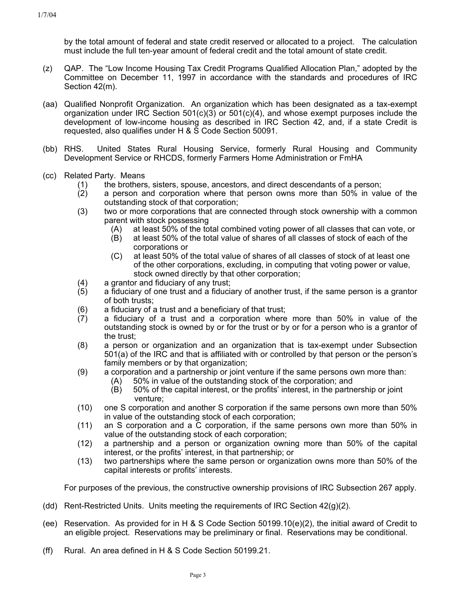by the total amount of federal and state credit reserved or allocated to a project. The calculation must include the full ten-year amount of federal credit and the total amount of state credit.

- (z) QAP. The "Low Income Housing Tax Credit Programs Qualified Allocation Plan," adopted by the Committee on December 11, 1997 in accordance with the standards and procedures of IRC Section 42(m).
- (aa) Qualified Nonprofit Organization. An organization which has been designated as a tax-exempt organization under IRC Section  $501(c)(3)$  or  $501(c)(4)$ , and whose exempt purposes include the development of low-income housing as described in IRC Section 42, and, if a state Credit is requested, also qualifies under H & S Code Section 50091.
- (bb) RHS. United States Rural Housing Service, formerly Rural Housing and Community Development Service or RHCDS, formerly Farmers Home Administration or FmHA
- (cc) Related Party. Means
	- (1) the brothers, sisters, spouse, ancestors, and direct descendants of a person;
	- (2) a person and corporation where that person owns more than 50% in value of the outstanding stock of that corporation;
	- (3) two or more corporations that are connected through stock ownership with a common parent with stock possessing
		- (A) at least 50% of the total combined voting power of all classes that can vote, or
		- (B) at least 50% of the total value of shares of all classes of stock of each of the corporations or
		- (C) at least 50% of the total value of shares of all classes of stock of at least one of the other corporations, excluding, in computing that voting power or value, stock owned directly by that other corporation;
	- (4) a grantor and fiduciary of any trust;
	- (5) a fiduciary of one trust and a fiduciary of another trust, if the same person is a grantor of both trusts;
	- (6) a fiduciary of a trust and a beneficiary of that trust;
	- (7) a fiduciary of a trust and a corporation where more than 50% in value of the outstanding stock is owned by or for the trust or by or for a person who is a grantor of the trust;
	- (8) a person or organization and an organization that is tax-exempt under Subsection 501(a) of the IRC and that is affiliated with or controlled by that person or the person's family members or by that organization;
	- (9) a corporation and a partnership or joint venture if the same persons own more than:
		- (A) 50% in value of the outstanding stock of the corporation; and
		- (B) 50% of the capital interest, or the profits' interest, in the partnership or joint venture;
	- (10) one S corporation and another S corporation if the same persons own more than 50% in value of the outstanding stock of each corporation;
	- (11) an S corporation and a C corporation, if the same persons own more than 50% in value of the outstanding stock of each corporation;
	- (12) a partnership and a person or organization owning more than 50% of the capital interest, or the profits' interest, in that partnership; or
	- (13) two partnerships where the same person or organization owns more than 50% of the capital interests or profits' interests.

For purposes of the previous, the constructive ownership provisions of IRC Subsection 267 apply.

- (dd) Rent-Restricted Units. Units meeting the requirements of IRC Section 42(g)(2).
- (ee) Reservation. As provided for in H & S Code Section 50199.10(e)(2), the initial award of Credit to an eligible project. Reservations may be preliminary or final. Reservations may be conditional.
- (ff) Rural. An area defined in H & S Code Section 50199.21.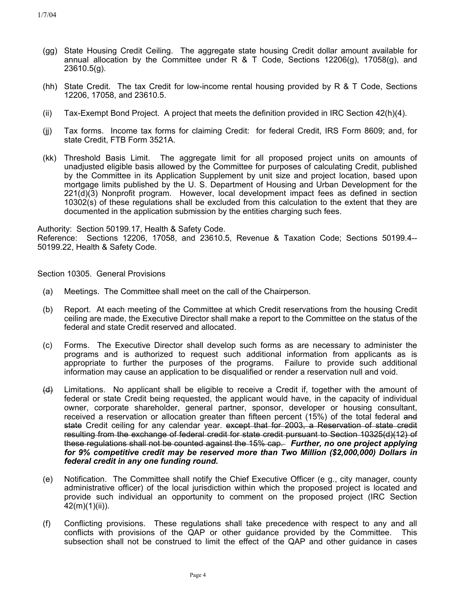- (gg) State Housing Credit Ceiling. The aggregate state housing Credit dollar amount available for annual allocation by the Committee under R & T Code, Sections 12206(g), 17058(g), and 23610.5(g).
- (hh) State Credit. The tax Credit for low-income rental housing provided by R & T Code, Sections 12206, 17058, and 23610.5.
- (ii) Tax-Exempt Bond Project. A project that meets the definition provided in IRC Section 42(h)(4).
- $(ii)$ Tax forms. Income tax forms for claiming Credit: for federal Credit, IRS Form 8609; and, for state Credit, FTB Form 3521A.
- (kk) Threshold Basis Limit. The aggregate limit for all proposed project units on amounts of unadjusted eligible basis allowed by the Committee for purposes of calculating Credit, published by the Committee in its Application Supplement by unit size and project location, based upon mortgage limits published by the U. S. Department of Housing and Urban Development for the 221(d)(3) Nonprofit program. However, local development impact fees as defined in section 10302(s) of these regulations shall be excluded from this calculation to the extent that they are documented in the application submission by the entities charging such fees.

Authority: Section 50199.17, Health & Safety Code.

Reference: Sections 12206, 17058, and 23610.5, Revenue & Taxation Code; Sections 50199.4-- 50199.22, Health & Safety Code.

Section 10305. General Provisions

- (a) Meetings. The Committee shall meet on the call of the Chairperson.
- (b) Report. At each meeting of the Committee at which Credit reservations from the housing Credit ceiling are made, the Executive Director shall make a report to the Committee on the status of the federal and state Credit reserved and allocated.
- (c) Forms. The Executive Director shall develop such forms as are necessary to administer the programs and is authorized to request such additional information from applicants as is appropriate to further the purposes of the programs. Failure to provide such additional information may cause an application to be disqualified or render a reservation null and void.
- (d) Limitations. No applicant shall be eligible to receive a Credit if, together with the amount of federal or state Credit being requested, the applicant would have, in the capacity of individual owner, corporate shareholder, general partner, sponsor, developer or housing consultant, received a reservation or allocation greater than fifteen percent (15%) of the total federal and state Credit ceiling for any calendar year. except that for 2003, a Reservation of state credit resulting from the exchange of federal credit for state credit pursuant to Section 10325(d)(12) of these regulations shall not be counted against the 15% cap. *Further, no one project applying for 9% competitive credit may be reserved more than Two Million (\$2,000,000) Dollars in federal credit in any one funding round.*
- (e) Notification. The Committee shall notify the Chief Executive Officer (e g., city manager, county administrative officer) of the local jurisdiction within which the proposed project is located and provide such individual an opportunity to comment on the proposed project (IRC Section 42(m)(1)(ii)).
- (f) Conflicting provisions. These regulations shall take precedence with respect to any and all conflicts with provisions of the QAP or other guidance provided by the Committee. This subsection shall not be construed to limit the effect of the QAP and other guidance in cases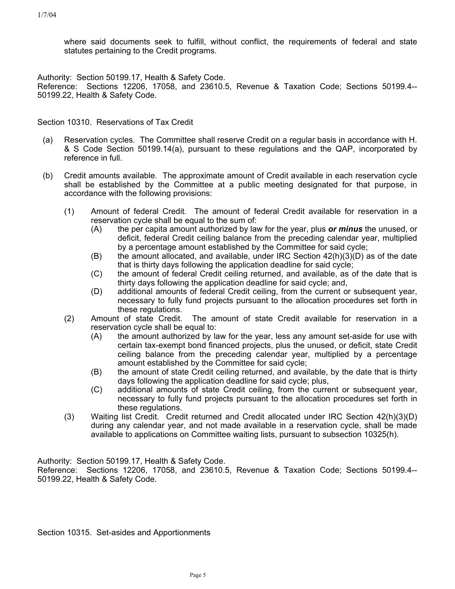where said documents seek to fulfill, without conflict, the requirements of federal and state statutes pertaining to the Credit programs.

Authority: Section 50199.17, Health & Safety Code.

Reference: Sections 12206, 17058, and 23610.5, Revenue & Taxation Code; Sections 50199.4-- 50199.22, Health & Safety Code.

Section 10310. Reservations of Tax Credit

- (a) Reservation cycles. The Committee shall reserve Credit on a regular basis in accordance with H. & S Code Section 50199.14(a), pursuant to these regulations and the QAP, incorporated by reference in full.
- (b) Credit amounts available. The approximate amount of Credit available in each reservation cycle shall be established by the Committee at a public meeting designated for that purpose, in accordance with the following provisions:
	- (1) Amount of federal Credit. The amount of federal Credit available for reservation in a reservation cycle shall be equal to the sum of:
		- the per capita amount authorized by law for the year, plus *or minus* the unused, or deficit, federal Credit ceiling balance from the preceding calendar year, multiplied by a percentage amount established by the Committee for said cycle; (A)
		- (B) the amount allocated, and available, under IRC Section 42(h)(3)(D) as of the date that is thirty days following the application deadline for said cycle;
		- (C) the amount of federal Credit ceiling returned, and available, as of the date that is thirty days following the application deadline for said cycle; and,
		- (D) additional amounts of federal Credit ceiling, from the current or subsequent year, necessary to fully fund projects pursuant to the allocation procedures set forth in these regulations.
	- (2) Amount of state Credit. The amount of state Credit available for reservation in a reservation cycle shall be equal to:
		- (A) the amount authorized by law for the year, less any amount set-aside for use with certain tax-exempt bond financed projects, plus the unused, or deficit, state Credit ceiling balance from the preceding calendar year, multiplied by a percentage amount established by the Committee for said cycle;
		- (B) the amount of state Credit ceiling returned, and available, by the date that is thirty days following the application deadline for said cycle; plus,
		- (C) additional amounts of state Credit ceiling, from the current or subsequent year, necessary to fully fund projects pursuant to the allocation procedures set forth in these regulations.
	- (3) Waiting list Credit. Credit returned and Credit allocated under IRC Section 42(h)(3)(D) during any calendar year, and not made available in a reservation cycle, shall be made available to applications on Committee waiting lists, pursuant to subsection 10325(h).

Authority: Section 50199.17, Health & Safety Code.

Reference: Sections 12206, 17058, and 23610.5, Revenue & Taxation Code; Sections 50199.4-- 50199.22, Health & Safety Code.

Section 10315. Set-asides and Apportionments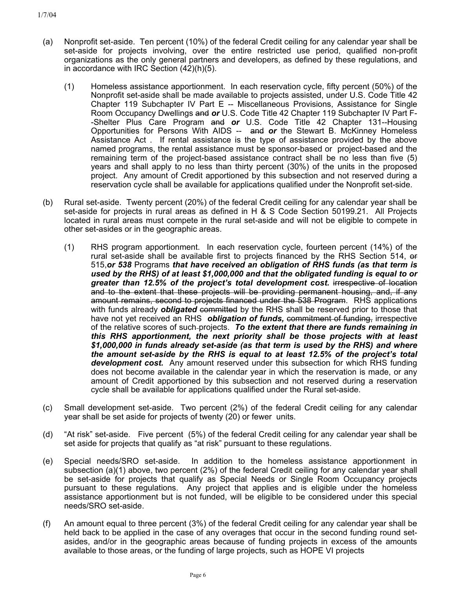- (a) Nonprofit set-aside. Ten percent (10%) of the federal Credit ceiling for any calendar year shall be set-aside for projects involving, over the entire restricted use period, qualified non-profit organizations as the only general partners and developers, as defined by these regulations, and in accordance with IRC Section (42)(h)(5).
	- (1) Homeless assistance apportionment. In each reservation cycle, fifty percent (50%) of the Nonprofit set-aside shall be made available to projects assisted, under U.S. Code Title 42 Chapter 119 Subchapter IV Part E -- Miscellaneous Provisions, Assistance for Single Room Occupancy Dwellings and *or* U.S. Code Title 42 Chapter 119 Subchapter IV Part F- -Shelter Plus Care Program and *or* U.S. Code Title 42 Chapter 131--Housing Opportunities for Persons With AIDS -- and *or* the Stewart B. McKinney Homeless Assistance Act . If rental assistance is the type of assistance provided by the above named programs, the rental assistance must be sponsor-based or project-based and the remaining term of the project-based assistance contract shall be no less than five (5) years and shall apply to no less than thirty percent (30%) of the units in the proposed project. Any amount of Credit apportioned by this subsection and not reserved during a reservation cycle shall be available for applications qualified under the Nonprofit set-side.
- (b) Rural set-aside. Twenty percent (20%) of the federal Credit ceiling for any calendar year shall be set-aside for projects in rural areas as defined in H & S Code Section 50199.21. All Projects located in rural areas must compete in the rural set-aside and will not be eligible to compete in other set-asides or in the geographic areas.
	- (1) RHS program apportionment. In each reservation cycle, fourteen percent (14%) of the rural set-aside shall be available first to projects financed by the RHS Section 514, or 515,*or 538* Programs *that have received an obligation of RHS funds (as that term is used by the RHS) of at least \$1,000,000 and that the obligated funding is equal to or greater than 12.5% of the project's total development cost.* irrespective of location and to the extent that these projects will be providing permanent housing, and, if any amount remains, second to projects financed under the 538 Program. RHS applications with funds already *obligated* committed by the RHS shall be reserved prior to those that have not yet received an RHS **obligation of funds**, commitment of funding, irrespective of the relative scores of such projects. *To the extent that there are funds remaining in this RHS apportionment, the next priority shall be those projects with at least \$1,000,000 in funds already set-aside (as that term is used by the RHS) and where the amount set-aside by the RHS is equal to at least 12.5% of the project's total development cost.* Any amount reserved under this subsection for which RHS funding does not become available in the calendar year in which the reservation is made, or any amount of Credit apportioned by this subsection and not reserved during a reservation cycle shall be available for applications qualified under the Rural set-aside.
- (c) Small development set-aside. Two percent (2%) of the federal Credit ceiling for any calendar year shall be set aside for projects of twenty (20) or fewer units.
- (d) "At risk" set-aside. Five percent (5%) of the federal Credit ceiling for any calendar year shall be set aside for projects that qualify as "at risk" pursuant to these regulations.
- (e) Special needs/SRO set-aside. In addition to the homeless assistance apportionment in subsection (a)(1) above, two percent (2%) of the federal Credit ceiling for any calendar year shall be set-aside for projects that qualify as Special Needs or Single Room Occupancy projects pursuant to these regulations. Any project that applies and is eligible under the homeless assistance apportionment but is not funded, will be eligible to be considered under this special needs/SRO set-aside.
- (f) An amount equal to three percent (3%) of the federal Credit ceiling for any calendar year shall be held back to be applied in the case of any overages that occur in the second funding round setasides, and/or in the geographic areas because of funding projects in excess of the amounts available to those areas, or the funding of large projects, such as HOPE VI projects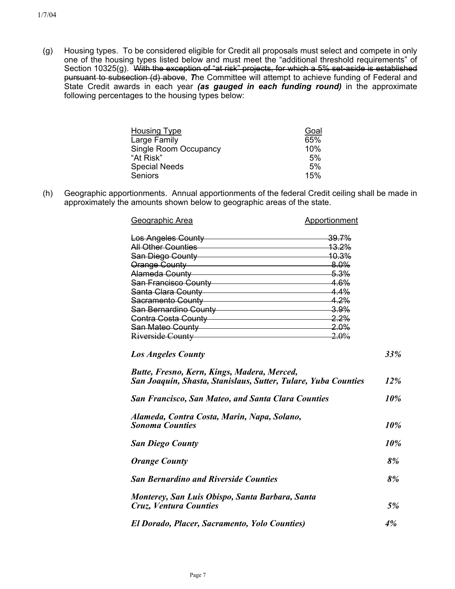(g) Housing types. To be considered eligible for Credit all proposals must select and compete in only one of the housing types listed below and must meet the "additional threshold requirements" of Section 10325(g). With the exception of "at risk" projects, for which a 5% set-aside is established pursuant to subsection (d) above, *T*he Committee will attempt to achieve funding of Federal and State Credit awards in each year *(as gauged in each funding round)* in the approximate following percentages to the housing types below:

| <b>Housing Type</b>   | Goal |
|-----------------------|------|
| Large Family          | 65%  |
| Single Room Occupancy | 10%  |
| "At Risk"             | 5%   |
| <b>Special Needs</b>  | 5%   |
| Seniors               | 15%  |

(h) Geographic apportionments. Annual apportionments of the federal Credit ceiling shall be made in approximately the amounts shown below to geographic areas of the state.

| Geographic Area                                                                                                                                                                                    | Apportionment    |     |
|----------------------------------------------------------------------------------------------------------------------------------------------------------------------------------------------------|------------------|-----|
| Los Angeles County <b>Contract County Los Angeles County</b>                                                                                                                                       | <del>39.7%</del> |     |
| All Other Counties <b>All Other Counties</b>                                                                                                                                                       | <u> 13.2%</u>    |     |
| San Diego County 10.3%                                                                                                                                                                             |                  |     |
| Orange County <b>County County County County County County County County County County County County County County County County County County County County County and </b> County <b>County </b> | $-8.0\%$         |     |
| Alameda County 6.3%                                                                                                                                                                                |                  |     |
| San Francisco County 1.6%                                                                                                                                                                          |                  |     |
| Santa Clara County 4.4%                                                                                                                                                                            |                  |     |
| Sacramento County<br>4.2%                                                                                                                                                                          |                  |     |
| San Bernardino County 2004                                                                                                                                                                         |                  |     |
| Contra Costa County 2.2%                                                                                                                                                                           |                  |     |
| San Mateo County 2.0%                                                                                                                                                                              |                  |     |
| Riverside County                                                                                                                                                                                   | $-2.0\%$         |     |
| <b>Los Angeles County</b>                                                                                                                                                                          |                  | 33% |
| Butte, Fresno, Kern, Kings, Madera, Merced,<br>San Joaquin, Shasta, Stanislaus, Sutter, Tulare, Yuba Counties                                                                                      |                  | 12% |
| <b>San Francisco, San Mateo, and Santa Clara Counties</b>                                                                                                                                          |                  |     |
| Alameda, Contra Costa, Marin, Napa, Solano,<br><b>Sonoma Counties</b>                                                                                                                              |                  | 10% |

| <b>San Diego County</b>                                                   | <i>10%</i> |
|---------------------------------------------------------------------------|------------|
| <b>Orange County</b>                                                      | $8\%$      |
| <b>San Bernardino and Riverside Counties</b>                              | $8\%$      |
| Monterey, San Luis Obispo, Santa Barbara, Santa<br>Cruz, Ventura Counties | 5%         |
| El Dorado, Placer, Sacramento, Yolo Counties)                             | 4%         |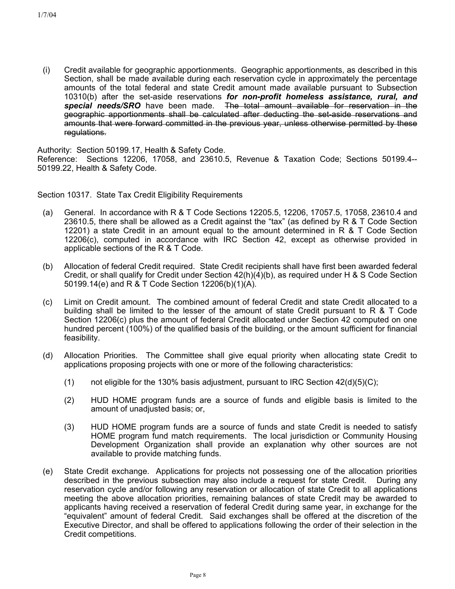(i) Credit available for geographic apportionments. Geographic apportionments, as described in this Section, shall be made available during each reservation cycle in approximately the percentage amounts of the total federal and state Credit amount made available pursuant to Subsection 10310(b) after the set-aside reservations *for non-profit homeless assistance, rural, and special needs/SRO* have been made. The total amount available for reservation in the geographic apportionments shall be calculated after deducting the set-aside reservations and amounts that were forward committed in the previous year, unless otherwise permitted by these regulations.

Authority: Section 50199.17, Health & Safety Code.

Reference: Sections 12206, 17058, and 23610.5, Revenue & Taxation Code; Sections 50199.4-- 50199.22, Health & Safety Code.

Section 10317. State Tax Credit Eligibility Requirements

- (a) General. In accordance with R & T Code Sections 12205.5, 12206, 17057.5, 17058, 23610.4 and 23610.5, there shall be allowed as a Credit against the "tax" (as defined by R & T Code Section 12201) a state Credit in an amount equal to the amount determined in R & T Code Section 12206(c), computed in accordance with IRC Section 42, except as otherwise provided in applicable sections of the R & T Code.
- (b) Allocation of federal Credit required. State Credit recipients shall have first been awarded federal Credit, or shall qualify for Credit under Section 42(h)(4)(b), as required under H & S Code Section 50199.14(e) and R & T Code Section 12206(b)(1)(A).
- (c) Limit on Credit amount. The combined amount of federal Credit and state Credit allocated to a building shall be limited to the lesser of the amount of state Credit pursuant to R & T Code Section 12206(c) plus the amount of federal Credit allocated under Section 42 computed on one hundred percent (100%) of the qualified basis of the building, or the amount sufficient for financial feasibility.
- (d) Allocation Priorities. The Committee shall give equal priority when allocating state Credit to applications proposing projects with one or more of the following characteristics:
	- (1) not eligible for the 130% basis adjustment, pursuant to IRC Section  $42(d)(5)(C)$ ;
	- (2) HUD HOME program funds are a source of funds and eligible basis is limited to the amount of unadjusted basis; or,
	- (3) HUD HOME program funds are a source of funds and state Credit is needed to satisfy HOME program fund match requirements. The local jurisdiction or Community Housing Development Organization shall provide an explanation why other sources are not available to provide matching funds.
- (e) State Credit exchange. Applications for projects not possessing one of the allocation priorities described in the previous subsection may also include a request for state Credit. During any reservation cycle and/or following any reservation or allocation of state Credit to all applications meeting the above allocation priorities, remaining balances of state Credit may be awarded to applicants having received a reservation of federal Credit during same year, in exchange for the "equivalent" amount of federal Credit. Said exchanges shall be offered at the discretion of the Executive Director, and shall be offered to applications following the order of their selection in the Credit competitions.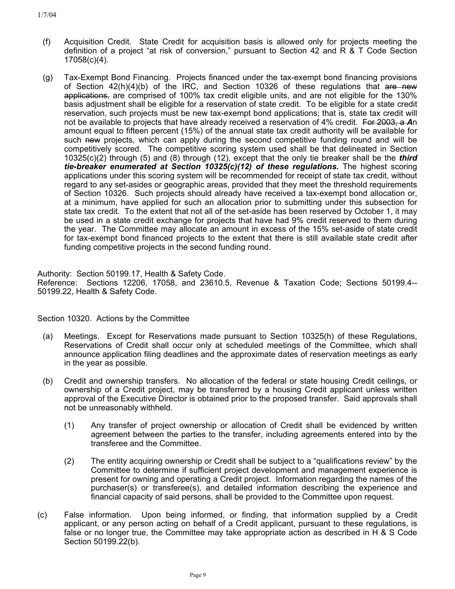- (f) Acquisition Credit. State Credit for acquisition basis is allowed only for projects meeting the definition of a project "at risk of conversion," pursuant to Section 42 and R & T Code Section 17058(c)(4).
- (g) Tax-Exempt Bond Financing. Projects financed under the tax-exempt bond financing provisions of Section 42(h)(4)(b) of the IRC, and Section 10326 of these regulations that are new applications, are comprised of 100% tax credit eligible units, and are not eligible for the 130% basis adjustment shall be eligible for a reservation of state credit. To be eligible for a state credit reservation, such projects must be new tax-exempt bond applications; that is, state tax credit will not be available to projects that have already received a reservation of 4% credit. For 2003, a *A*n amount equal to fifteen percent (15%) of the annual state tax credit authority will be available for such new projects, which can apply during the second competitive funding round and will be competitively scored. The competitive scoring system used shall be that delineated in Section 10325(c)(2) through (5) and (8) through (12), except that the only tie breaker shall be the *third tie-breaker enumerated at Section 10325(c)(12) of these regulations.* The highest scoring applications under this scoring system will be recommended for receipt of state tax credit, without regard to any set-asides or geographic areas, provided that they meet the threshold requirements of Section 10326. Such projects should already have received a tax-exempt bond allocation or, at a minimum, have applied for such an allocation prior to submitting under this subsection for state tax credit. To the extent that not all of the set-aside has been reserved by October 1, it may be used in a state credit exchange for projects that have had 9% credit reserved to them during the year. The Committee may allocate an amount in excess of the 15% set-aside of state credit for tax-exempt bond financed projects to the extent that there is still available state credit after funding competitive projects in the second funding round.

Authority: Section 50199.17, Health & Safety Code.

Reference: Sections 12206, 17058, and 23610.5, Revenue & Taxation Code; Sections 50199.4-- 50199.22, Health & Safety Code.

Section 10320. Actions by the Committee

- (a) Meetings. Except for Reservations made pursuant to Section 10325(h) of these Regulations, Reservations of Credit shall occur only at scheduled meetings of the Committee, which shall announce application filing deadlines and the approximate dates of reservation meetings as early in the year as possible.
- (b) Credit and ownership transfers. No allocation of the federal or state housing Credit ceilings, or ownership of a Credit project, may be transferred by a housing Credit applicant unless written approval of the Executive Director is obtained prior to the proposed transfer. Said approvals shall not be unreasonably withheld.
	- (1) Any transfer of project ownership or allocation of Credit shall be evidenced by written agreement between the parties to the transfer, including agreements entered into by the transferee and the Committee.
	- (2) The entity acquiring ownership or Credit shall be subject to a "qualifications review" by the Committee to determine if sufficient project development and management experience is present for owning and operating a Credit project. Information regarding the names of the purchaser(s) or transferee(s), and detailed information describing the experience and financial capacity of said persons, shall be provided to the Committee upon request.
- (c) False information. Upon being informed, or finding, that information supplied by a Credit applicant, or any person acting on behalf of a Credit applicant, pursuant to these regulations, is false or no longer true, the Committee may take appropriate action as described in H & S Code Section 50199.22(b).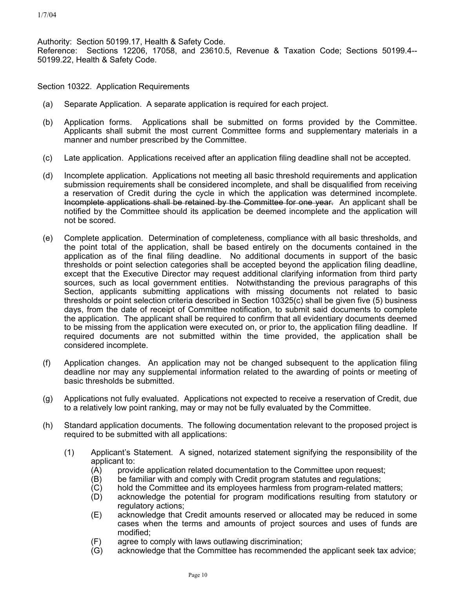Authority: Section 50199.17, Health & Safety Code. Reference: Sections 12206, 17058, and 23610.5, Revenue & Taxation Code; Sections 50199.4-- 50199.22, Health & Safety Code.

Section 10322. Application Requirements

- (a) Separate Application. A separate application is required for each project.
- (b) Application forms. Applications shall be submitted on forms provided by the Committee. Applicants shall submit the most current Committee forms and supplementary materials in a manner and number prescribed by the Committee.
- (c) Late application. Applications received after an application filing deadline shall not be accepted.
- (d) Incomplete application. Applications not meeting all basic threshold requirements and application submission requirements shall be considered incomplete, and shall be disqualified from receiving a reservation of Credit during the cycle in which the application was determined incomplete. Incomplete applications shall be retained by the Committee for one year. An applicant shall be notified by the Committee should its application be deemed incomplete and the application will not be scored.
- (e) Complete application. Determination of completeness, compliance with all basic thresholds, and the point total of the application, shall be based entirely on the documents contained in the application as of the final filing deadline. No additional documents in support of the basic thresholds or point selection categories shall be accepted beyond the application filing deadline, except that the Executive Director may request additional clarifying information from third party sources, such as local government entities. Notwithstanding the previous paragraphs of this Section, applicants submitting applications with missing documents not related to basic thresholds or point selection criteria described in Section 10325(c) shall be given five (5) business days, from the date of receipt of Committee notification, to submit said documents to complete the application. The applicant shall be required to confirm that all evidentiary documents deemed to be missing from the application were executed on, or prior to, the application filing deadline. If required documents are not submitted within the time provided, the application shall be considered incomplete.
- (f) Application changes. An application may not be changed subsequent to the application filing deadline nor may any supplemental information related to the awarding of points or meeting of basic thresholds be submitted.
- (g) Applications not fully evaluated. Applications not expected to receive a reservation of Credit, due to a relatively low point ranking, may or may not be fully evaluated by the Committee.
- (h) Standard application documents. The following documentation relevant to the proposed project is required to be submitted with all applications:
	- (1) Applicant's Statement. A signed, notarized statement signifying the responsibility of the applicant to:
		- (A) provide application related documentation to the Committee upon request;
		- (B) be familiar with and comply with Credit program statutes and regulations;
		- (C) hold the Committee and its employees harmless from program-related matters;
		- (D) acknowledge the potential for program modifications resulting from statutory or regulatory actions;
		- (E) acknowledge that Credit amounts reserved or allocated may be reduced in some cases when the terms and amounts of project sources and uses of funds are modified;
		- (F) agree to comply with laws outlawing discrimination;
		- (G) acknowledge that the Committee has recommended the applicant seek tax advice;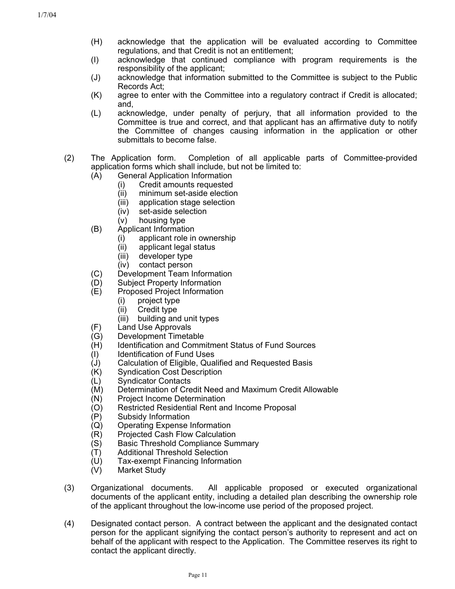- (H) acknowledge that the application will be evaluated according to Committee regulations, and that Credit is not an entitlement;
- (I) acknowledge that continued compliance with program requirements is the responsibility of the applicant;
- (J) acknowledge that information submitted to the Committee is subject to the Public Records Act;
- (K) agree to enter with the Committee into a regulatory contract if Credit is allocated; and,
- (L) acknowledge, under penalty of perjury, that all information provided to the Committee is true and correct, and that applicant has an affirmative duty to notify the Committee of changes causing information in the application or other submittals to become false.
- (2) The Application form. Completion of all applicable parts of Committee-provided application forms which shall include, but not be limited to:
	- (A) General Application Information
		- (i) Credit amounts requested
			- (ii) minimum set-aside election
			- (iii) application stage selection
			- (iv) set-aside selection
			- (v) housing type
	- (B) Applicant Information
		- (i) applicant role in ownership
		- (ii) applicant legal status
		- (iii) developer type
		- (iv) contact person
	- (C) Development Team Information
	- (D) Subject Property Information
	- (E) Proposed Project Information
		- (i) project type
		- (ii) Credit type
		- (iii) building and unit types
	- (F) Land Use Approvals
	- (G) Development Timetable
	- (H) Identification and Commitment Status of Fund Sources
	- (I) Identification of Fund Uses
	- (J) Calculation of Eligible, Qualified and Requested Basis
	- (K) Syndication Cost Description
	- (L) Syndicator Contacts
	- (M) Determination of Credit Need and Maximum Credit Allowable
	- (N) Project Income Determination
	- (O) Restricted Residential Rent and Income Proposal
	- (P) Subsidy Information
	- (Q) Operating Expense Information
	- (R) Projected Cash Flow Calculation
	- (S) Basic Threshold Compliance Summary
	- (T) Additional Threshold Selection
	- (U) Tax-exempt Financing Information
	- (V) Market Study
- (3) Organizational documents. All applicable proposed or executed organizational documents of the applicant entity, including a detailed plan describing the ownership role of the applicant throughout the low-income use period of the proposed project.
- (4) Designated contact person. A contract between the applicant and the designated contact person for the applicant signifying the contact person's authority to represent and act on behalf of the applicant with respect to the Application. The Committee reserves its right to contact the applicant directly.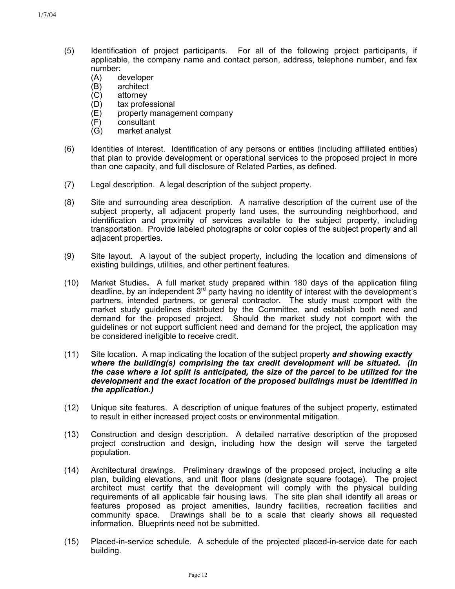- (5) Identification of project participants. For all of the following project participants, if applicable, the company name and contact person, address, telephone number, and fax number:
	- (A) developer
	- (B) architect
	- (C) attorney
	- (D) tax professional
	- (E) property management company
	- (F) consultant
	- (G) market analyst
- (6) Identities of interest. Identification of any persons or entities (including affiliated entities) that plan to provide development or operational services to the proposed project in more than one capacity, and full disclosure of Related Parties, as defined.
- (7) Legal description. A legal description of the subject property.
- (8) Site and surrounding area description. A narrative description of the current use of the subject property, all adjacent property land uses, the surrounding neighborhood, and identification and proximity of services available to the subject property, including transportation. Provide labeled photographs or color copies of the subject property and all adjacent properties.
- (9) Site layout. A layout of the subject property, including the location and dimensions of existing buildings, utilities, and other pertinent features.
- (10) Market Studies**.** A full market study prepared within 180 days of the application filing deadline, by an independent  $3<sup>rd</sup>$  party having no identity of interest with the development's partners, intended partners, or general contractor. The study must comport with the market study guidelines distributed by the Committee, and establish both need and demand for the proposed project. Should the market study not comport with the guidelines or not support sufficient need and demand for the project, the application may be considered ineligible to receive credit.
- (11) Site location. A map indicating the location of the subject property *and showing exactly where the building(s) comprising the tax credit development will be situated. (In the case where a lot split is anticipated, the size of the parcel to be utilized for the development and the exact location of the proposed buildings must be identified in the application.)*
- (12) Unique site features. A description of unique features of the subject property, estimated to result in either increased project costs or environmental mitigation.
- (13) Construction and design description. A detailed narrative description of the proposed project construction and design, including how the design will serve the targeted population.
- (14) Architectural drawings. Preliminary drawings of the proposed project, including a site plan, building elevations, and unit floor plans (designate square footage). The project architect must certify that the development will comply with the physical building requirements of all applicable fair housing laws. The site plan shall identify all areas or features proposed as project amenities, laundry facilities, recreation facilities and community space. Drawings shall be to a scale that clearly shows all requested information. Blueprints need not be submitted.
- (15) Placed-in-service schedule. A schedule of the projected placed-in-service date for each building.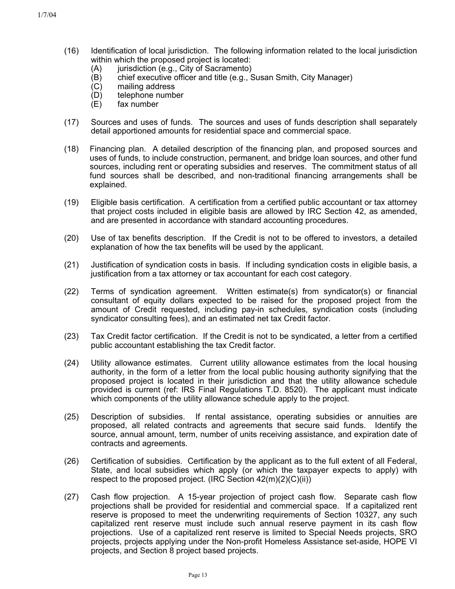- (16) Identification of local jurisdiction. The following information related to the local jurisdiction within which the proposed project is located:
	- (A) jurisdiction (e.g., City of Sacramento)
	- (B) chief executive officer and title (e.g., Susan Smith, City Manager)
	- (C) mailing address
	- (D) telephone number
	- (E) fax number
- (17) Sources and uses of funds. The sources and uses of funds description shall separately detail apportioned amounts for residential space and commercial space.
- (18) Financing plan. A detailed description of the financing plan, and proposed sources and uses of funds, to include construction, permanent, and bridge loan sources, and other fund sources, including rent or operating subsidies and reserves. The commitment status of all fund sources shall be described, and non-traditional financing arrangements shall be explained.
- $(19)$ Eligible basis certification. A certification from a certified public accountant or tax attorney that project costs included in eligible basis are allowed by IRC Section 42, as amended, and are presented in accordance with standard accounting procedures.
- (20) Use of tax benefits description. If the Credit is not to be offered to investors, a detailed explanation of how the tax benefits will be used by the applicant.
- (21) Justification of syndication costs in basis. If including syndication costs in eligible basis, a justification from a tax attorney or tax accountant for each cost category.
- (22) Terms of syndication agreement. Written estimate(s) from syndicator(s) or financial consultant of equity dollars expected to be raised for the proposed project from the amount of Credit requested, including pay-in schedules, syndication costs (including syndicator consulting fees), and an estimated net tax Credit factor.
- (23) Tax Credit factor certification. If the Credit is not to be syndicated, a letter from a certified public accountant establishing the tax Credit factor.
- (24) Utility allowance estimates. Current utility allowance estimates from the local housing authority, in the form of a letter from the local public housing authority signifying that the proposed project is located in their jurisdiction and that the utility allowance schedule provided is current (ref: IRS Final Regulations T.D. 8520). The applicant must indicate which components of the utility allowance schedule apply to the project.
- (25) Description of subsidies. If rental assistance, operating subsidies or annuities are proposed, all related contracts and agreements that secure said funds. Identify the source, annual amount, term, number of units receiving assistance, and expiration date of contracts and agreements.
- (26) Certification of subsidies. Certification by the applicant as to the full extent of all Federal, State, and local subsidies which apply (or which the taxpayer expects to apply) with respect to the proposed project. (IRC Section 42(m)(2)(C)(ii))
- (27) Cash flow projection. A 15-year projection of project cash flow. Separate cash flow projections shall be provided for residential and commercial space. If a capitalized rent reserve is proposed to meet the underwriting requirements of Section 10327, any such capitalized rent reserve must include such annual reserve payment in its cash flow projections. Use of a capitalized rent reserve is limited to Special Needs projects, SRO projects, projects applying under the Non-profit Homeless Assistance set-aside, HOPE VI projects, and Section 8 project based projects.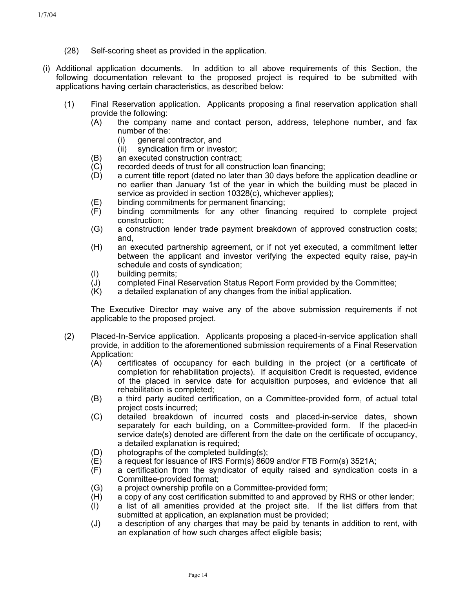- (28) Self-scoring sheet as provided in the application.
- (i) Additional application documents. In addition to all above requirements of this Section, the following documentation relevant to the proposed project is required to be submitted with applications having certain characteristics, as described below:
	- (1) Final Reservation application. Applicants proposing a final reservation application shall provide the following:
		- (A) the company name and contact person, address, telephone number, and fax number of the:
			- (i) general contractor, and
			- (ii) syndication firm or investor;
		- (B) an executed construction contract;
		- (C) recorded deeds of trust for all construction loan financing;
		- (D) a current title report (dated no later than 30 days before the application deadline or no earlier than January 1st of the year in which the building must be placed in service as provided in section 10328(c), whichever applies);
		- (E) binding commitments for permanent financing;
		- (F) binding commitments for any other financing required to complete project construction;
		- (G) a construction lender trade payment breakdown of approved construction costs; and,
		- (H) an executed partnership agreement, or if not yet executed, a commitment letter between the applicant and investor verifying the expected equity raise, pay-in schedule and costs of syndication;
		- (I) building permits;
		- (J) completed Final Reservation Status Report Form provided by the Committee;
		- (K) a detailed explanation of any changes from the initial application.

The Executive Director may waive any of the above submission requirements if not applicable to the proposed project.

- (2) Placed-In-Service application. Applicants proposing a placed-in-service application shall provide, in addition to the aforementioned submission requirements of a Final Reservation Application:
	- (A) certificates of occupancy for each building in the project (or a certificate of completion for rehabilitation projects). If acquisition Credit is requested, evidence of the placed in service date for acquisition purposes, and evidence that all rehabilitation is completed;
	- (B) a third party audited certification, on a Committee-provided form, of actual total project costs incurred;
	- (C) detailed breakdown of incurred costs and placed-in-service dates, shown separately for each building, on a Committee-provided form. If the placed-in service date(s) denoted are different from the date on the certificate of occupancy, a detailed explanation is required;
	- (D) photographs of the completed building(s);
	- (E) a request for issuance of IRS Form(s) 8609 and/or FTB Form(s) 3521A;
	- (F) a certification from the syndicator of equity raised and syndication costs in a Committee-provided format;
	- (G) a project ownership profile on a Committee-provided form;
	- (H) a copy of any cost certification submitted to and approved by RHS or other lender;
	- (I) a list of all amenities provided at the project site. If the list differs from that submitted at application, an explanation must be provided;
	- (J) a description of any charges that may be paid by tenants in addition to rent, with an explanation of how such charges affect eligible basis;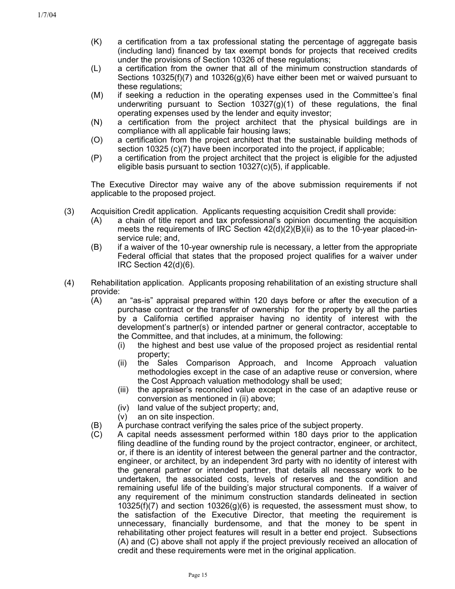- (K) a certification from a tax professional stating the percentage of aggregate basis (including land) financed by tax exempt bonds for projects that received credits under the provisions of Section 10326 of these regulations;
- (L) a certification from the owner that all of the minimum construction standards of Sections 10325(f)(7) and 10326(g)(6) have either been met or waived pursuant to these regulations;
- (M) if seeking a reduction in the operating expenses used in the Committee's final underwriting pursuant to Section  $10327(g)(1)$  of these regulations, the final operating expenses used by the lender and equity investor;
- (N) a certification from the project architect that the physical buildings are in compliance with all applicable fair housing laws;
- (O) a certification from the project architect that the sustainable building methods of section 10325 (c)(7) have been incorporated into the project, if applicable;
- (P) a certification from the project architect that the project is eligible for the adjusted eligible basis pursuant to section 10327(c)(5), if applicable.

The Executive Director may waive any of the above submission requirements if not applicable to the proposed project.

- (3) Acquisition Credit application. Applicants requesting acquisition Credit shall provide:
	- (A) a chain of title report and tax professional's opinion documenting the acquisition meets the requirements of IRC Section  $42(d)(2)(B)(ii)$  as to the 10-year placed-inservice rule; and,
	- (B) if a waiver of the 10-year ownership rule is necessary, a letter from the appropriate Federal official that states that the proposed project qualifies for a waiver under IRC Section 42(d)(6).
- (4) Rehabilitation application. Applicants proposing rehabilitation of an existing structure shall provide:
	- (A) an "as-is" appraisal prepared within 120 days before or after the execution of a purchase contract or the transfer of ownership for the property by all the parties by a California certified appraiser having no identity of interest with the development's partner(s) or intended partner or general contractor, acceptable to the Committee, and that includes, at a minimum, the following:
		- (i) the highest and best use value of the proposed project as residential rental property;
		- (ii) the Sales Comparison Approach, and Income Approach valuation methodologies except in the case of an adaptive reuse or conversion, where the Cost Approach valuation methodology shall be used;
		- (iii) the appraiser's reconciled value except in the case of an adaptive reuse or conversion as mentioned in (ii) above;
		- (iv) land value of the subject property; and,
		- (v) an on site inspection.
	- (B) A purchase contract verifying the sales price of the subject property.
	- (C) A capital needs assessment performed within 180 days prior to the application filing deadline of the funding round by the project contractor, engineer, or architect, or, if there is an identity of interest between the general partner and the contractor, engineer, or architect, by an independent 3rd party with no identity of interest with the general partner or intended partner, that details all necessary work to be undertaken, the associated costs, levels of reserves and the condition and remaining useful life of the building's major structural components. If a waiver of any requirement of the minimum construction standards delineated in section 10325(f)(7) and section 10326(g)(6) is requested, the assessment must show, to the satisfaction of the Executive Director, that meeting the requirement is unnecessary, financially burdensome, and that the money to be spent in rehabilitating other project features will result in a better end project. Subsections (A) and (C) above shall not apply if the project previously received an allocation of credit and these requirements were met in the original application.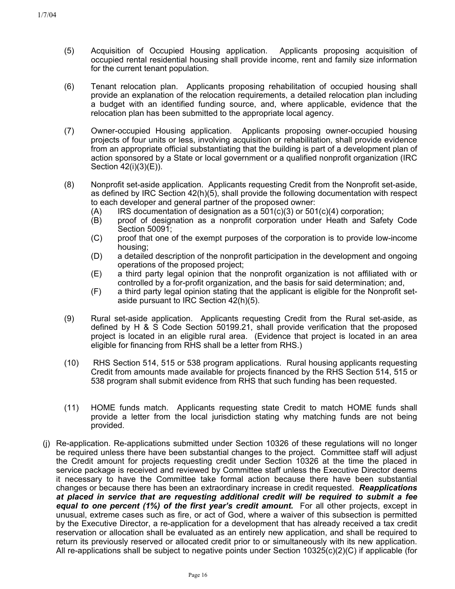- (5) Acquisition of Occupied Housing application. Applicants proposing acquisition of occupied rental residential housing shall provide income, rent and family size information for the current tenant population.
- (6) Tenant relocation plan. Applicants proposing rehabilitation of occupied housing shall provide an explanation of the relocation requirements, a detailed relocation plan including a budget with an identified funding source, and, where applicable, evidence that the relocation plan has been submitted to the appropriate local agency.
- (7) Owner-occupied Housing application. Applicants proposing owner-occupied housing projects of four units or less, involving acquisition or rehabilitation, shall provide evidence from an appropriate official substantiating that the building is part of a development plan of action sponsored by a State or local government or a qualified nonprofit organization (IRC Section 42(i)(3)(E)).
- (8) Nonprofit set-aside application. Applicants requesting Credit from the Nonprofit set-aside, as defined by IRC Section 42(h)(5), shall provide the following documentation with respect to each developer and general partner of the proposed owner:
	- $(A)$  IRS documentation of designation as a 501(c)(3) or 501(c)(4) corporation;
	- (B) proof of designation as a nonprofit corporation under Heath and Safety Code Section 50091;
	- (C) proof that one of the exempt purposes of the corporation is to provide low-income housing;
	- (D) a detailed description of the nonprofit participation in the development and ongoing operations of the proposed project;
	- (E) a third party legal opinion that the nonprofit organization is not affiliated with or controlled by a for-profit organization, and the basis for said determination; and,
	- (F) a third party legal opinion stating that the applicant is eligible for the Nonprofit setaside pursuant to IRC Section 42(h)(5).
- (9) Rural set-aside application. Applicants requesting Credit from the Rural set-aside, as defined by H & S Code Section 50199.21, shall provide verification that the proposed project is located in an eligible rural area. (Evidence that project is located in an area eligible for financing from RHS shall be a letter from RHS.)
- (10) RHS Section 514, 515 or 538 program applications. Rural housing applicants requesting Credit from amounts made available for projects financed by the RHS Section 514, 515 or 538 program shall submit evidence from RHS that such funding has been requested.
- (11) HOME funds match. Applicants requesting state Credit to match HOME funds shall provide a letter from the local jurisdiction stating why matching funds are not being provided.
- (j) Re-application. Re-applications submitted under Section 10326 of these regulations will no longer be required unless there have been substantial changes to the project. Committee staff will adjust the Credit amount for projects requesting credit under Section 10326 at the time the placed in service package is received and reviewed by Committee staff unless the Executive Director deems it necessary to have the Committee take formal action because there have been substantial changes or because there has been an extraordinary increase in credit requested. *Reapplications at placed in service that are requesting additional credit will be required to submit a fee equal to one percent (1%) of the first year's credit amount.* For all other projects, except in unusual, extreme cases such as fire, or act of God, where a waiver of this subsection is permitted by the Executive Director, a re-application for a development that has already received a tax credit reservation or allocation shall be evaluated as an entirely new application, and shall be required to return its previously reserved or allocated credit prior to or simultaneously with its new application. All re-applications shall be subject to negative points under Section 10325(c)(2)(C) if applicable (for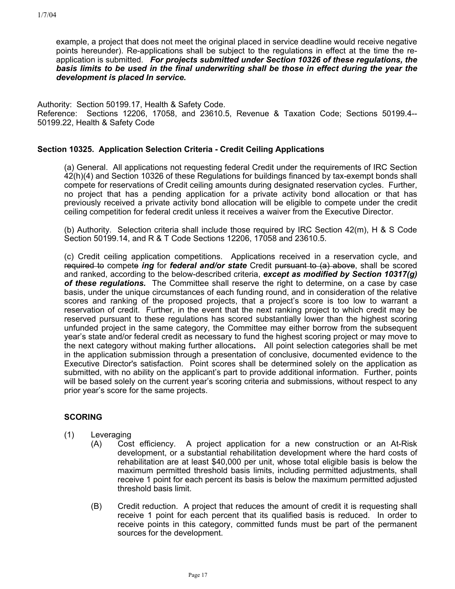example, a project that does not meet the original placed in service deadline would receive negative points hereunder). Re-applications shall be subject to the regulations in effect at the time the reapplication is submitted. *For projects submitted under Section 10326 of these regulations, the basis limits to be used in the final underwriting shall be those in effect during the year the development is placed In service.*

Authority: Section 50199.17, Health & Safety Code. Reference: Sections 12206, 17058, and 23610.5, Revenue & Taxation Code; Sections 50199.4-- 50199.22, Health & Safety Code

## **Section 10325. Application Selection Criteria - Credit Ceiling Applications**

(a) General. All applications not requesting federal Credit under the requirements of IRC Section 42(h)(4) and Section 10326 of these Regulations for buildings financed by tax-exempt bonds shall compete for reservations of Credit ceiling amounts during designated reservation cycles. Further, no project that has a pending application for a private activity bond allocation or that has previously received a private activity bond allocation will be eligible to compete under the credit ceiling competition for federal credit unless it receives a waiver from the Executive Director.

(b) Authority. Selection criteria shall include those required by IRC Section 42(m), H & S Code Section 50199.14, and R & T Code Sections 12206, 17058 and 23610.5.

(c) Credit ceiling application competitions. Applications received in a reservation cycle, and required to compete *ing* for *federal and/or state* Credit pursuant to (a) above, shall be scored and ranked, according to the below-described criteria, *except as modified by Section 10317(g) of these regulations.* The Committee shall reserve the right to determine, on a case by case basis, under the unique circumstances of each funding round, and in consideration of the relative scores and ranking of the proposed projects, that a project's score is too low to warrant a reservation of credit. Further, in the event that the next ranking project to which credit may be reserved pursuant to these regulations has scored substantially lower than the highest scoring unfunded project in the same category, the Committee may either borrow from the subsequent year's state and/or federal credit as necessary to fund the highest scoring project or may move to the next category without making further allocations**.** All point selection categories shall be met in the application submission through a presentation of conclusive, documented evidence to the Executive Director's satisfaction. Point scores shall be determined solely on the application as submitted, with no ability on the applicant's part to provide additional information. Further, points will be based solely on the current year's scoring criteria and submissions, without respect to any prior year's score for the same projects.

## **SCORING**

- (1) Leveraging
	- (A) Cost efficiency. A project application for a new construction or an At-Risk development, or a substantial rehabilitation development where the hard costs of rehabilitation are at least \$40,000 per unit, whose total eligible basis is below the maximum permitted threshold basis limits, including permitted adjustments, shall receive 1 point for each percent its basis is below the maximum permitted adjusted threshold basis limit.
	- (B) Credit reduction. A project that reduces the amount of credit it is requesting shall receive 1 point for each percent that its qualified basis is reduced. In order to receive points in this category, committed funds must be part of the permanent sources for the development.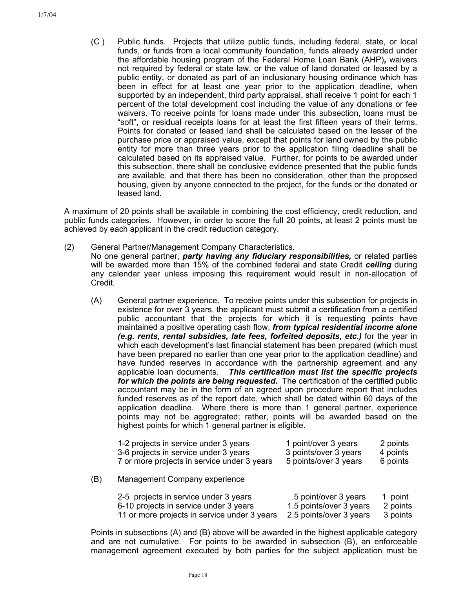(C ) Public funds. Projects that utilize public funds, including federal, state, or local funds, or funds from a local community foundation, funds already awarded under the affordable housing program of the Federal Home Loan Bank (AHP)**,** waivers not required by federal or state law, or the value of land donated or leased by a public entity, or donated as part of an inclusionary housing ordinance which has been in effect for at least one year prior to the application deadline, when supported by an independent, third party appraisal, shall receive 1 point for each 1 percent of the total development cost including the value of any donations or fee waivers. To receive points for loans made under this subsection, loans must be "soft", or residual receipts loans for at least the first fifteen years of their terms. Points for donated or leased land shall be calculated based on the lesser of the purchase price or appraised value, except that points for land owned by the public entity for more than three years prior to the application filing deadline shall be calculated based on its appraised value. Further, for points to be awarded under this subsection, there shall be conclusive evidence presented that the public funds are available, and that there has been no consideration, other than the proposed housing, given by anyone connected to the project, for the funds or the donated or leased land.

A maximum of 20 points shall be available in combining the cost efficiency, credit reduction, and public funds categories. However, in order to score the full 20 points, at least 2 points must be achieved by each applicant in the credit reduction category.

(2) General Partner/Management Company Characteristics.

No one general partner, *party having any fiduciary responsibilities,* or related parties will be awarded more than 15% of the combined federal and state Credit *ceiling* during any calendar year unless imposing this requirement would result in non-allocation of Credit.

(A) General partner experience. To receive points under this subsection for projects in existence for over 3 years, the applicant must submit a certification from a certified public accountant that the projects for which it is requesting points have maintained a positive operating cash flow, *from typical residential income alone (e.g. rents, rental subsidies, late fees, forfeited deposits, etc.)* for the year in which each development's last financial statement has been prepared (which must have been prepared no earlier than one year prior to the application deadline) and have funded reserves in accordance with the partnership agreement and any applicable loan documents. *This certification must list the specific projects for which the points are being requested.* The certification of the certified public accountant may be in the form of an agreed upon procedure report that includes funded reserves as of the report date, which shall be dated within 60 days of the application deadline. Where there is more than 1 general partner, experience points may not be aggregrated; rather, points will be awarded based on the highest points for which 1 general partner is eligible.

| 1-2 projects in service under 3 years       | 1 point/over 3 years    | 2 points |  |
|---------------------------------------------|-------------------------|----------|--|
| 3-6 projects in service under 3 years       | 3 points/over 3 years   | 4 points |  |
| 7 or more projects in service under 3 years | 5 points/over 3 years   | 6 points |  |
| Management Company experience               |                         |          |  |
| 2-5 projects in service under 3 years       | .5 point/over 3 years   | 1 point  |  |
| 6-10 projects in service under 3 years      | 1.5 points/over 3 years | 2 points |  |

11 or more projects in service under 3 years 2.5 points/over 3 years 3 points

Points in subsections (A) and (B) above will be awarded in the highest applicable category and are not cumulative. For points to be awarded in subsection (B), an enforceable management agreement executed by both parties for the subject application must be

(B)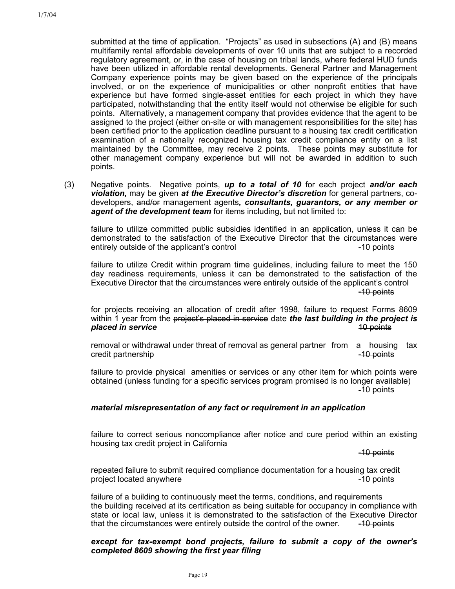submitted at the time of application. "Projects" as used in subsections (A) and (B) means multifamily rental affordable developments of over 10 units that are subject to a recorded regulatory agreement, or, in the case of housing on tribal lands, where federal HUD funds have been utilized in affordable rental developments. General Partner and Management Company experience points may be given based on the experience of the principals involved, or on the experience of municipalities or other nonprofit entities that have experience but have formed single-asset entities for each project in which they have participated, notwithstanding that the entity itself would not otherwise be eligible for such points. Alternatively, a management company that provides evidence that the agent to be assigned to the project (either on-site or with management responsibilities for the site) has been certified prior to the application deadline pursuant to a housing tax credit certification examination of a nationally recognized housing tax credit compliance entity on a list maintained by the Committee, may receive 2 points. These points may substitute for other management company experience but will not be awarded in addition to such points.

(3) Negative points. Negative points, *up to a total of 10* for each project *and/or each violation,* may be given *at the Executive Director's discretion* for general partners, codevelopers, and/or management agents*, consultants, guarantors, or any member or agent of the development team* for items including, but not limited to:

failure to utilize committed public subsidies identified in an application, unless it can be demonstrated to the satisfaction of the Executive Director that the circumstances were entirely outside of the applicant's control entirely outside of the applicant's control

failure to utilize Credit within program time guidelines, including failure to meet the 150 day readiness requirements, unless it can be demonstrated to the satisfaction of the Executive Director that the circumstances were entirely outside of the applicant's control -10 points

for projects receiving an allocation of credit after 1998, failure to request Forms 8609 within 1 year from the project's placed in service date *the last building in the project is placed in service* 10 points

removal or withdrawal under threat of removal as general partner from a housing tax credit partnership -10 points -10 points -10 points -10 points -10 points -10 points -10 points -10 points -10

failure to provide physical amenities or services or any other item for which points were obtained (unless funding for a specific services program promised is no longer available) -10 points

## *material misrepresentation of any fact or requirement in an application*

failure to correct serious noncompliance after notice and cure period within an existing housing tax credit project in California

-10 points

repeated failure to submit required compliance documentation for a housing tax credit project located anywhere  $\sim$  10 points  $\sim$  10 points

failure of a building to continuously meet the terms, conditions, and requirements the building received at its certification as being suitable for occupancy in compliance with state or local law, unless it is demonstrated to the satisfaction of the Executive Director that the circumstances were entirely outside the control of the owner.  $-40$  points

#### *except for tax-exempt bond projects, failure to submit a copy of the owner's completed 8609 showing the first year filing*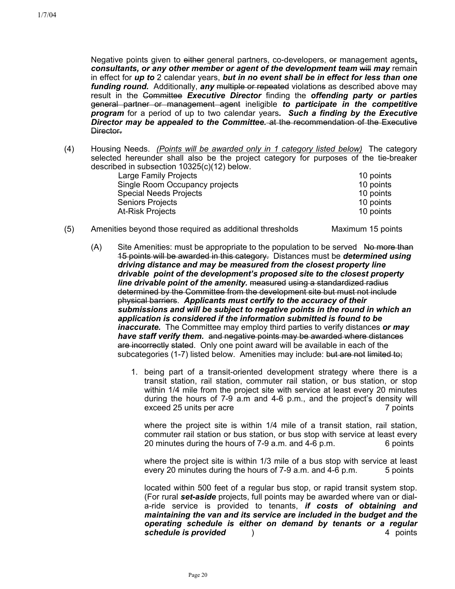Negative points given to either general partners, co-developers, or management agents**,**  *consultants, or any other member or agent of the development team* will *may* remain in effect for *up to* 2 calendar years, *but in no event shall be in effect for less than one* funding round. Additionally, any multiple or repeated violations as described above may result in the Committee *Executive Director* finding the *offending party or parties* general partner or management agent ineligible *to participate in the competitive program* for a period of up to two calendar years*. Such a finding by the Executive Director may be appealed to the Committee.* at the recommendation of the Executive Director-

(4) Housing Needs. *(Points will be awarded only in 1 category listed below)* The category selected hereunder shall also be the project category for purposes of the tie-breaker described in subsection 10325(c)(12) below.

| Large Family Projects          | 10 points |
|--------------------------------|-----------|
| Single Room Occupancy projects | 10 points |
| <b>Special Needs Projects</b>  | 10 points |
| <b>Seniors Projects</b>        | 10 points |
| <b>At-Risk Projects</b>        | 10 points |
|                                |           |

- (5) Amenities beyond those required as additional thresholds Maximum 15 points
	- $(A)$  Site Amenities: must be appropriate to the population to be served  $A\theta$  more than 15 points will be awarded in this category. Distances must be *determined using driving distance and may be measured from the closest property line drivable point of the development's proposed site to the closest property line drivable point of the amenity.* measured using a standardized radius determined by the Committee from the development site but must not include physical barriers. *Applicants must certify to the accuracy of their submissions and will be subject to negative points in the round in which an application is considered if the information submitted is found to be inaccurate.* The Committee may employ third parties to verify distances *or may have staff verify them.* and negative points may be awarded where distances are incorrectly stated. Only one point award will be available in each of the subcategories (1-7) listed below.Amenities may include: but are not limited to;
		- 1. being part of a transit-oriented development strategy where there is a transit station, rail station, commuter rail station, or bus station, or stop within 1/4 mile from the project site with service at least every 20 minutes during the hours of 7-9 a.m and 4-6 p.m., and the project's density will exceed 25 units per acre 7 points

where the project site is within 1/4 mile of a transit station, rail station, commuter rail station or bus station, or bus stop with service at least every 20 minutes during the hours of 7-9 a.m. and 4-6 p.m. 6 points

where the project site is within 1/3 mile of a bus stop with service at least every 20 minutes during the hours of 7-9 a.m. and 4-6 p.m. 5 points

located within 500 feet of a regular bus stop, or rapid transit system stop. (For rural *set-aside* projects, full points may be awarded where van or diala-ride service is provided to tenants, *if costs of obtaining and maintaining the van and its service are included in the budget and the operating schedule is either on demand by tenants or a regular schedule is provided* ) 4 points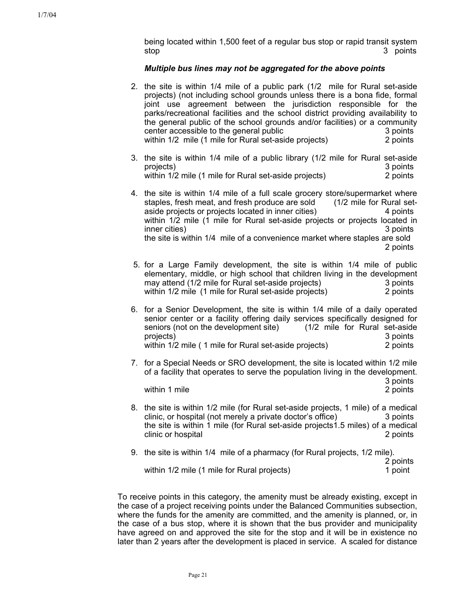being located within 1,500 feet of a regular bus stop or rapid transit system stop 3 points

## *Multiple bus lines may not be aggregated for the above points*

- 2. the site is within 1/4 mile of a public park (1/2 mile for Rural set-aside projects) (not including school grounds unless there is a bona fide, formal joint use agreement between the jurisdiction responsible for the parks/recreational facilities and the school district providing availability to the general public of the school grounds and/or facilities) or a community center accessible to the general public 3 points 3 points within 1/2 mile (1 mile for Rural set-aside projects) 2 points
- 3. the site is within 1/4 mile of a public library (1/2 mile for Rural set-aside projects) 3 points within 1/2 mile (1 mile for Rural set-aside projects) 2 points
- 4. the site is within 1/4 mile of a full scale grocery store/supermarket where staples, fresh meat, and fresh produce are sold (1/2 mile for Rural setaside projects or projects located in inner cities) 4 points within 1/2 mile (1 mile for Rural set-aside projects or projects located in inner cities) 3 points the site is within 1/4 mile of a convenience market where staples are sold 2 points
	- 5. for a Large Family development, the site is within 1/4 mile of public elementary, middle, or high school that children living in the development may attend (1/2 mile for Rural set-aside projects)3 points within 1/2 mile (1 mile for Rural set-aside projects) 2 points
	- 6. for a Senior Development, the site is within 1/4 mile of a daily operated senior center or a facility offering daily services specifically designed for seniors (not on the development site) (1/2 mile for Rural set-aside projects) 3 points within 1/2 mile (1 mile for Rural set-aside projects) 2 points
	- 7. for a Special Needs or SRO development, the site is located within 1/2 mile of a facility that operates to serve the population living in the development. 3 points

within 1 mile 2 points 2 points 2 points 2 points 2 points 2 points 2 points 2 points 2 points 2 points 2 points 2 points 2 points 2 points 2 points 2 points 2 points 2 points 2 points 2 points 2 points 2 points 2 points 2

- 8. the site is within 1/2 mile (for Rural set-aside projects, 1 mile) of a medical clinic, or hospital (not merely a private doctor's office) 3 points the site is within 1 mile (for Rural set-aside projects1.5 miles) of a medical clinic or hospital 2 points
- 9. the site is within 1/4 mile of a pharmacy (for Rural projects, 1/2 mile). 2 points within 1/2 mile (1 mile for Rural projects) 1 point

To receive points in this category, the amenity must be already existing, except in the case of a project receiving points under the Balanced Communities subsection, where the funds for the amenity are committed, and the amenity is planned, or, in the case of a bus stop, where it is shown that the bus provider and municipality have agreed on and approved the site for the stop and it will be in existence no later than 2 years after the development is placed in service. A scaled for distance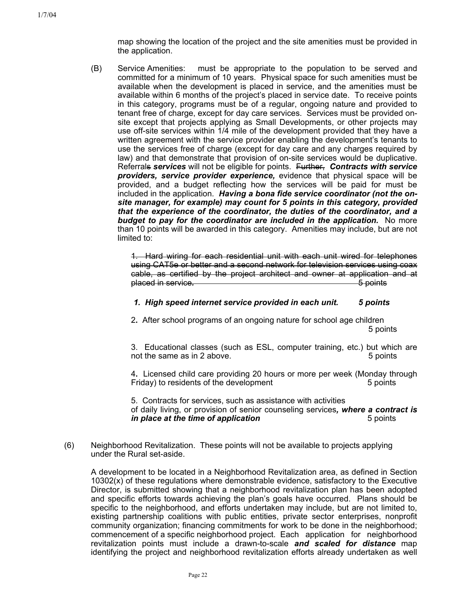map showing the location of the project and the site amenities must be provided in the application.

(B) Service Amenities: must be appropriate to the population to be served and committed for a minimum of 10 years. Physical space for such amenities must be available when the development is placed in service, and the amenities must be available within 6 months of the project's placed in service date. To receive points in this category, programs must be of a regular, ongoing nature and provided to tenant free of charge, except for day care services. Services must be provided onsite except that projects applying as Small Developments, or other projects may use off-site services within 1/4 mile of the development provided that they have a written agreement with the service provider enabling the development's tenants to use the services free of charge (except for day care and any charges required by law) and that demonstrate that provision of on-site services would be duplicative. Referrals *services* will not be eligible for points. Further, *Contracts with service providers, service provider experience,* evidence that physical space will be provided, and a budget reflecting how the services will be paid for must be included in the application. *Having a bona fide service coordinator (not the onsite manager, for example) may count for 5 points in this category, provided that the experience of the coordinator, the duties of the coordinator, and a*  **budget to pay for the coordinator are included in the application.** No more than 10 points will be awarded in this category. Amenities may include, but are not limited to:

> 1. Hard wiring for each residential unit with each unit wired for telephones using CAT5e or better and a second network for television services using coax cable, as certified by the project architect and owner at application and at placed in service. **5** points

#### *1. High speed internet service provided in each unit. 5 points*

2**.** After school programs of an ongoing nature for school age children 5 points

3. Educational classes (such as ESL, computer training, etc.) but which are not the same as in 2 above. 5 points

4**.** Licensed child care providing 20 hours or more per week (Monday through Friday) to residents of the development 5 points

5. Contracts for services, such as assistance with activities of daily living, or provision of senior counseling services*, where a contract is in place at the time of application* **5 5** points **5** points

(6) Neighborhood Revitalization. These points will not be available to projects applying under the Rural set-aside.

A development to be located in a Neighborhood Revitalization area, as defined in Section 10302(x) of these regulations where demonstrable evidence, satisfactory to the Executive Director, is submitted showing that a neighborhood revitalization plan has been adopted and specific efforts towards achieving the plan's goals have occurred. Plans should be specific to the neighborhood, and efforts undertaken may include, but are not limited to, existing partnership coalitions with public entities, private sector enterprises, nonprofit community organization; financing commitments for work to be done in the neighborhood; commencement of a specific neighborhood project. Each application for neighborhood revitalization points must include a drawn-to-scale *and scaled for distance* map identifying the project and neighborhood revitalization efforts already undertaken as well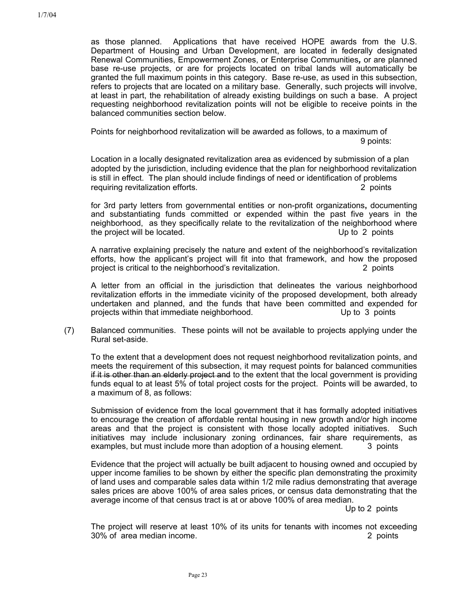as those planned. Applications that have received HOPE awards from the U.S. Department of Housing and Urban Development, are located in federally designated Renewal Communities, Empowerment Zones, or Enterprise Communities*,* or are planned base re-use projects, or are for projects located on tribal lands will automatically be granted the full maximum points in this category. Base re-use, as used in this subsection, refers to projects that are located on a military base. Generally, such projects will involve, at least in part, the rehabilitation of already existing buildings on such a base. A project requesting neighborhood revitalization points will not be eligible to receive points in the balanced communities section below.

Points for neighborhood revitalization will be awarded as follows, to a maximum of 9 points:

Location in a locally designated revitalization area as evidenced by submission of a plan adopted by the jurisdiction, including evidence that the plan for neighborhood revitalization is still in effect. The plan should include findings of need or identification of problems requiring revitalization efforts. 2 points

for 3rd party letters from governmental entities or non-profit organizations**,** documenting and substantiating funds committed or expended within the past five years in the neighborhood, as they specifically relate to the revitalization of the neighborhood where the project will be located. Up to 2 points

A narrative explaining precisely the nature and extent of the neighborhood's revitalization efforts, how the applicant's project will fit into that framework, and how the proposed project is critical to the neighborhood's revitalization. 2 points

A letter from an official in the jurisdiction that delineates the various neighborhood revitalization efforts in the immediate vicinity of the proposed development, both already undertaken and planned, and the funds that have been committed and expended for projects within that immediate neighborhood. Up to 3 points

(7) Balanced communities. These points will not be available to projects applying under the Rural set-aside.

To the extent that a development does not request neighborhood revitalization points, and meets the requirement of this subsection, it may request points for balanced communities if it is other than an elderly project and to the extent that the local government is providing funds equal to at least 5% of total project costs for the project. Points will be awarded, to a maximum of 8, as follows:

Submission of evidence from the local government that it has formally adopted initiatives to encourage the creation of affordable rental housing in new growth and/or high income areas and that the project is consistent with those locally adopted initiatives. Such initiatives may include inclusionary zoning ordinances, fair share requirements, as examples, but must include more than adoption of a housing element. 3 points

Evidence that the project will actually be built adjacent to housing owned and occupied by upper income families to be shown by either the specific plan demonstrating the proximity of land uses and comparable sales data within 1/2 mile radius demonstrating that average sales prices are above 100% of area sales prices, or census data demonstrating that the average income of that census tract is at or above 100% of area median.

Up to 2 points

The project will reserve at least 10% of its units for tenants with incomes not exceeding 30% of area median income. 2 points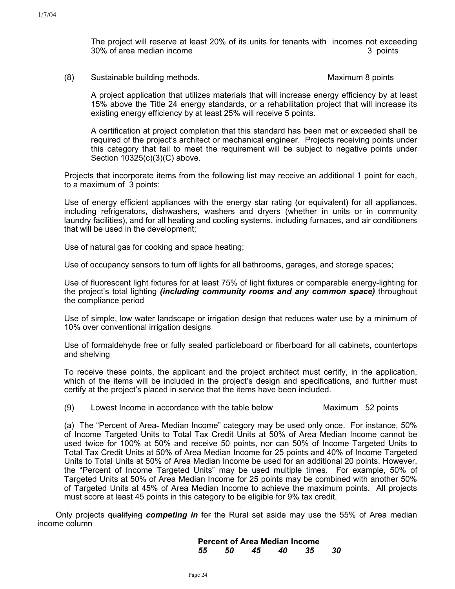The project will reserve at least 20% of its units for tenants with incomes not exceeding 30% of area median income 3 points

(8) Sustainable building methods.Maximum 8 points

A project application that utilizes materials that will increase energy efficiency by at least 15% above the Title 24 energy standards, or a rehabilitation project that will increase its existing energy efficiency by at least 25% will receive 5 points.

A certification at project completion that this standard has been met or exceeded shall be required of the project's architect or mechanical engineer. Projects receiving points under this category that fail to meet the requirement will be subject to negative points under Section 10325(c)(3)(C) above.

Projects that incorporate items from the following list may receive an additional 1 point for each, to a maximum of 3 points:

Use of energy efficient appliances with the energy star rating (or equivalent) for all appliances, including refrigerators, dishwashers, washers and dryers (whether in units or in community laundry facilities), and for all heating and cooling systems, including furnaces, and air conditioners that will be used in the development;

Use of natural gas for cooking and space heating;

Use of occupancy sensors to turn off lights for all bathrooms, garages, and storage spaces;

Use of fluorescent light fixtures for at least 75% of light fixtures or comparable energy-lighting for the project's total lighting *(including community rooms and any common space)* throughout the compliance period

Use of simple, low water landscape or irrigation design that reduces water use by a minimum of 10% over conventional irrigation designs

Use of formaldehyde free or fully sealed particleboard or fiberboard for all cabinets, countertops and shelving

To receive these points, the applicant and the project architect must certify, in the application, which of the items will be included in the project's design and specifications, and further must certify at the project's placed in service that the items have been included.

(9) Lowest Income in accordance with the table below Maximum 52 points

(a) The "Percent of Area-Median Income" category may be used only once. For instance, 50% of Income Targeted Units to Total Tax Credit Units at 50% of Area Median Income cannot be used twice for 100% at 50% and receive 50 points, nor can 50% of Income Targeted Units to Total Tax Credit Units at 50% of Area Median Income for 25 points and 40% of Income Targeted Units to Total Units at 50% of Area Median Income be used for an additional 20 points. However, the "Percent of Income Targeted Units" may be used multiple times. For example, 50% of Targeted Units at 50% of Area Median Income for 25 points may be combined with another 50% of Targeted Units at 45% of Area Median Income to achieve the maximum points. All projects must score at least 45 points in this category to be eligible for 9% tax credit.

 Only projects qualifying *competing in* for the Rural set aside may use the 55% of Area median income column

> **Percent of Area Median Income**   *55 50 45 40 35 30*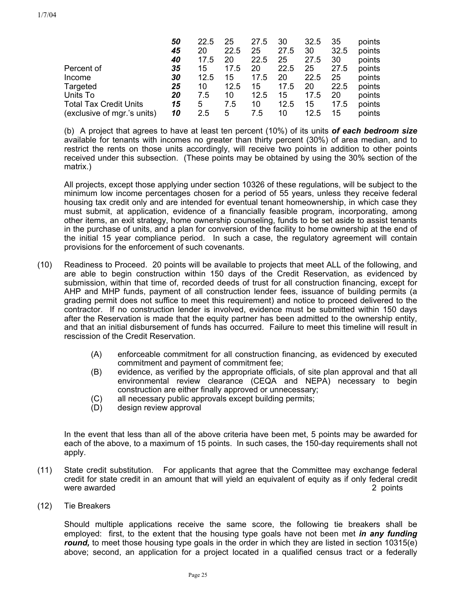|                               | 50 | 22.5 | 25   | 27.5 | 30   | 32.5 | 35   | points |
|-------------------------------|----|------|------|------|------|------|------|--------|
|                               | 45 | 20   | 22.5 | 25   | 27.5 | 30   | 32.5 | points |
|                               | 40 | 17.5 | 20   | 22.5 | 25   | 27.5 | 30   | points |
| Percent of                    | 35 | 15   | 17.5 | 20   | 22.5 | 25   | 27.5 | points |
| Income                        | 30 | 12.5 | 15   | 17.5 | 20   | 22.5 | 25   | points |
| Targeted                      | 25 | 10   | 12.5 | 15   | 17.5 | 20   | 22.5 | points |
| Units To                      | 20 | 7.5  | 10   | 12.5 | 15   | 17.5 | 20   | points |
| <b>Total Tax Credit Units</b> | 15 | 5    | 7.5  | 10   | 12.5 | 15   | 17.5 | points |
| (exclusive of mgr.'s units)   | 10 | 2.5  | 5    | 7.5  | 10   | 12.5 | 15   | points |

(b) A project that agrees to have at least ten percent (10%) of its units *of each bedroom size* available for tenants with incomes no greater than thirty percent (30%) of area median, and to restrict the rents on those units accordingly, will receive two points in addition to other points received under this subsection. (These points may be obtained by using the 30% section of the matrix.)

All projects, except those applying under section 10326 of these regulations, will be subject to the minimum low income percentages chosen for a period of 55 years, unless they receive federal housing tax credit only and are intended for eventual tenant homeownership, in which case they must submit, at application, evidence of a financially feasible program, incorporating, among other items, an exit strategy, home ownership counseling, funds to be set aside to assist tenants in the purchase of units, and a plan for conversion of the facility to home ownership at the end of the initial 15 year compliance period. In such a case, the regulatory agreement will contain provisions for the enforcement of such covenants.

- (10) Readiness to Proceed. 20 points will be available to projects that meet ALL of the following, and are able to begin construction within 150 days of the Credit Reservation, as evidenced by submission, within that time of, recorded deeds of trust for all construction financing, except for AHP and MHP funds, payment of all construction lender fees, issuance of building permits (a grading permit does not suffice to meet this requirement) and notice to proceed delivered to the contractor. If no construction lender is involved, evidence must be submitted within 150 days after the Reservation is made that the equity partner has been admitted to the ownership entity, and that an initial disbursement of funds has occurred. Failure to meet this timeline will result in rescission of the Credit Reservation.
	- (A) enforceable commitment for all construction financing, as evidenced by executed commitment and payment of commitment fee;
	- (B) evidence, as verified by the appropriate officials, of site plan approval and that all environmental review clearance (CEQA and NEPA) necessary to begin construction are either finally approved or unnecessary;
	- (C) all necessary public approvals except building permits;
	- (D) design review approval

In the event that less than all of the above criteria have been met, 5 points may be awarded for each of the above, to a maximum of 15 points. In such cases, the 150-day requirements shall not apply.

- (11) State credit substitution. For applicants that agree that the Committee may exchange federal credit for state credit in an amount that will yield an equivalent of equity as if only federal credit were awarded 2 points and 2 points are not a set of the set of the set of the set of the set of the set of the set of the set of the set of the set of the set of the set of the set of the set of the set of the set of the s
- (12) Tie Breakers

Should multiple applications receive the same score, the following tie breakers shall be employed: first, to the extent that the housing type goals have not been met *in any funding round*, to meet those housing type goals in the order in which they are listed in section 10315(e) above; second, an application for a project located in a qualified census tract or a federally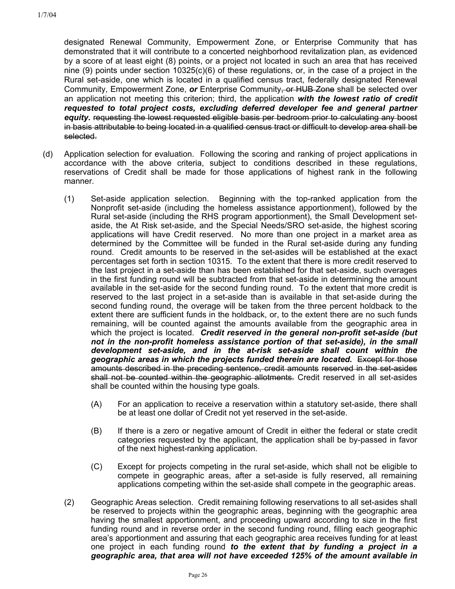designated Renewal Community, Empowerment Zone, or Enterprise Community that has demonstrated that it will contribute to a concerted neighborhood revitalization plan, as evidenced by a score of at least eight (8) points, or a project not located in such an area that has received nine (9) points under section 10325(c)(6) of these regulations, or, in the case of a project in the Rural set-aside, one which is located in a qualified census tract, federally designated Renewal Community, Empowerment Zone, *or* Enterprise Community, or HUB Zone shall be selected over an application not meeting this criterion; third, the application *with the lowest ratio of credit requested to total project costs, excluding deferred developer fee and general partner equity.* requesting the lowest requested eligible basis per bedroom prior to calculating any boost in basis attributable to being located in a qualified census tract or difficult to develop area shall be selected.

- (d) Application selection for evaluation. Following the scoring and ranking of project applications in accordance with the above criteria, subject to conditions described in these regulations, reservations of Credit shall be made for those applications of highest rank in the following manner.
	- (1) Set-aside application selection. Beginning with the top-ranked application from the Nonprofit set-aside (including the homeless assistance apportionment), followed by the Rural set-aside (including the RHS program apportionment), the Small Development setaside, the At Risk set-aside, and the Special Needs/SRO set-aside, the highest scoring applications will have Credit reserved. No more than one project in a market area as determined by the Committee will be funded in the Rural set-aside during any funding round. Credit amounts to be reserved in the set-asides will be established at the exact percentages set forth in section 10315. To the extent that there is more credit reserved to the last project in a set-aside than has been established for that set-aside, such overages in the first funding round will be subtracted from that set-aside in determining the amount available in the set-aside for the second funding round. To the extent that more credit is reserved to the last project in a set-aside than is available in that set-aside during the second funding round, the overage will be taken from the three percent holdback to the extent there are sufficient funds in the holdback, or, to the extent there are no such funds remaining, will be counted against the amounts available from the geographic area in which the project is located. *Credit reserved in the general non-profit set-aside (but not in the non-profit homeless assistance portion of that set-aside), in the small development set-aside, and in the at-risk set-aside shall count within the geographic areas in which the projects funded therein are located.* Except for those amounts described in the preceding sentence, credit amounts reserved in the set-asides shall not be counted within the geographic allotments. Credit reserved in all set-asides shall be counted within the housing type goals.
		- (A) For an application to receive a reservation within a statutory set-aside, there shall be at least one dollar of Credit not yet reserved in the set-aside.
		- (B) If there is a zero or negative amount of Credit in either the federal or state credit categories requested by the applicant, the application shall be by-passed in favor of the next highest-ranking application.
		- (C) Except for projects competing in the rural set-aside, which shall not be eligible to compete in geographic areas, after a set-aside is fully reserved, all remaining applications competing within the set-aside shall compete in the geographic areas.
	- (2) Geographic Areas selection. Credit remaining following reservations to all set-asides shall be reserved to projects within the geographic areas, beginning with the geographic area having the smallest apportionment, and proceeding upward according to size in the first funding round and in reverse order in the second funding round, filling each geographic area's apportionment and assuring that each geographic area receives funding for at least one project in each funding round *to the extent that by funding a project in a geographic area, that area will not have exceeded 125% of the amount available in*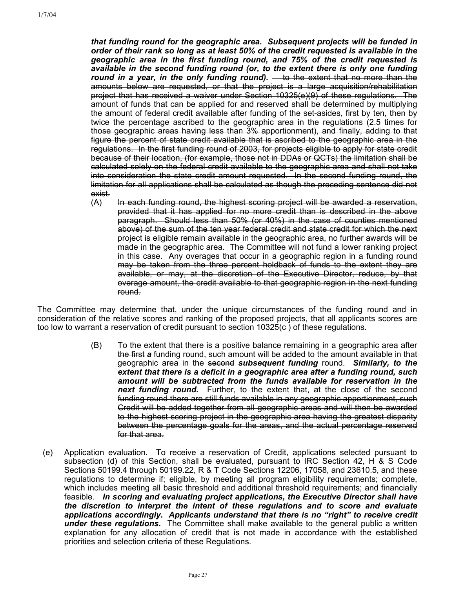*that funding round for the geographic area. Subsequent projects will be funded in order of their rank so long as at least 50% of the credit requested is available in the geographic area in the first funding round, and 75% of the credit requested is available in the second funding round (or, to the extent there is only one funding*  round in a year, in the only funding round). **- to the extent that no more than the** amounts below are requested, or that the project is a large acquisition/rehabilitation project that has received a waiver under Section 10325(e)(9) of these regulations. The amount of funds that can be applied for and reserved shall be determined by multiplying the amount of federal credit available after funding of the set-asides, first by ten, then by twice the percentage ascribed to the geographic area in the regulations (2.5 times for those geographic areas having less than 3% apportionment), and finally, adding to that figure the percent of state credit available that is ascribed to the geographic area in the regulations. In the first funding round of 2003, for projects eligible to apply for state credit because of their location, (for example, those not in DDAs or QCTs) the limitation shall be calculated solely on the federal credit available to the geographic area and shall not take into consideration the state credit amount requested. In the second funding round, the limitation for all applications shall be calculated as though the preceding sentence did not exist.

(A) In each funding round, the highest scoring project will be awarded a reservation, provided that it has applied for no more credit than is described in the above paragraph. Should less than 50% (or 40%) in the case of counties mentioned above) of the sum of the ten year federal credit and state credit for which the next project is eligible remain available in the geographic area, no further awards will be made in the geographic area. The Committee will not fund a lower ranking project in this case. Any overages that occur in a geographic region in a funding round may be taken from the three percent holdback of funds to the extent they are available, or may, at the discretion of the Executive Director, reduce, by that overage amount, the credit available to that geographic region in the next funding round.

The Committee may determine that, under the unique circumstances of the funding round and in consideration of the relative scores and ranking of the proposed projects, that all applicants scores are too low to warrant a reservation of credit pursuant to section 10325(c ) of these regulations.

- (B) To the extent that there is a positive balance remaining in a geographic area after the first *a* funding round, such amount will be added to the amount available in that geographic area in the second *subsequent funding* round. *Similarly, to the extent that there is a deficit in a geographic area after a funding round, such amount will be subtracted from the funds available for reservation in the next funding round.* Further, to the extent that, at the close of the second funding round there are still funds available in any geographic apportionment, such Credit will be added together from all geographic areas and will then be awarded to the highest scoring project in the geographic area having the greatest disparity between the percentage goals for the areas, and the actual percentage reserved for that area.
- (e) Application evaluation. To receive a reservation of Credit, applications selected pursuant to subsection (d) of this Section, shall be evaluated, pursuant to IRC Section 42, H & S Code Sections 50199.4 through 50199.22, R & T Code Sections 12206, 17058, and 23610.5, and these regulations to determine if; eligible, by meeting all program eligibility requirements; complete, which includes meeting all basic threshold and additional threshold requirements; and financially feasible. *In scoring and evaluating project applications, the Executive Director shall have the discretion to interpret the intent of these regulations and to score and evaluate applications accordingly. Applicants understand that there is no "right" to receive credit under these regulations.* The Committee shall make available to the general public a written explanation for any allocation of credit that is not made in accordance with the established priorities and selection criteria of these Regulations.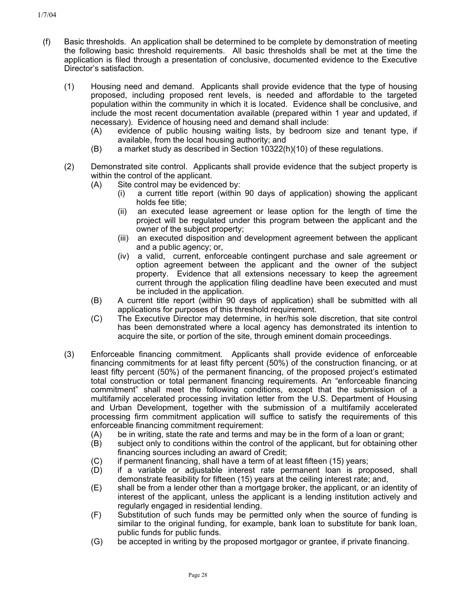- (f) Basic thresholds. An application shall be determined to be complete by demonstration of meeting the following basic threshold requirements. All basic thresholds shall be met at the time the application is filed through a presentation of conclusive, documented evidence to the Executive Director's satisfaction.
	- (1) Housing need and demand. Applicants shall provide evidence that the type of housing proposed, including proposed rent levels, is needed and affordable to the targeted population within the community in which it is located. Evidence shall be conclusive, and include the most recent documentation available (prepared within 1 year and updated, if necessary). Evidence of housing need and demand shall include:
		- (A) evidence of public housing waiting lists, by bedroom size and tenant type, if available, from the local housing authority; and
		- $(B)$  a market study as described in Section 10322(h)(10) of these regulations.
	- (2) Demonstrated site control. Applicants shall provide evidence that the subject property is within the control of the applicant.
		- (A) Site control may be evidenced by:
			- (i) a current title report (within 90 days of application) showing the applicant holds fee title;
			- (ii) an executed lease agreement or lease option for the length of time the project will be regulated under this program between the applicant and the owner of the subject property;
			- (iii) an executed disposition and development agreement between the applicant and a public agency; or,
			- (iv) a valid, current, enforceable contingent purchase and sale agreement or option agreement between the applicant and the owner of the subject property. Evidence that all extensions necessary to keep the agreement current through the application filing deadline have been executed and must be included in the application.
		- (B) A current title report (within 90 days of application) shall be submitted with all applications for purposes of this threshold requirement.
		- (C) The Executive Director may determine, in her/his sole discretion, that site control has been demonstrated where a local agency has demonstrated its intention to acquire the site, or portion of the site, through eminent domain proceedings.
	- (3) Enforceable financing commitment. Applicants shall provide evidence of enforceable financing commitments for at least fifty percent (50%) of the construction financing, or at least fifty percent (50%) of the permanent financing, of the proposed project's estimated total construction or total permanent financing requirements. An "enforceable financing commitment" shall meet the following conditions, except that the submission of a multifamily accelerated processing invitation letter from the U.S. Department of Housing and Urban Development, together with the submission of a multifamily accelerated processing firm commitment application will suffice to satisfy the requirements of this enforceable financing commitment requirement:
		- (A) be in writing, state the rate and terms and may be in the form of a loan or grant;
		- (B) subject only to conditions within the control of the applicant, but for obtaining other financing sources including an award of Credit;
		- (C) if permanent financing, shall have a term of at least fifteen (15) years;
		- (D) if a variable or adjustable interest rate permanent loan is proposed, shall demonstrate feasibility for fifteen (15) years at the ceiling interest rate; and,
		- (E) shall be from a lender other than a mortgage broker, the applicant, or an identity of interest of the applicant, unless the applicant is a lending institution actively and regularly engaged in residential lending.
		- (F) Substitution of such funds may be permitted only when the source of funding is similar to the original funding, for example, bank loan to substitute for bank loan, public funds for public funds.
		- (G) be accepted in writing by the proposed mortgagor or grantee, if private financing.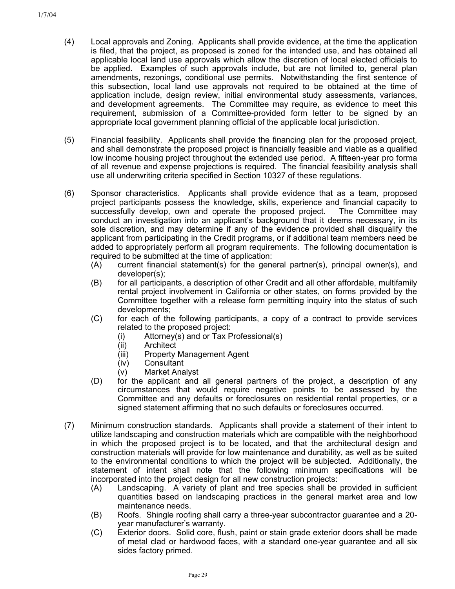- (4) Local approvals and Zoning. Applicants shall provide evidence, at the time the application is filed, that the project, as proposed is zoned for the intended use, and has obtained all applicable local land use approvals which allow the discretion of local elected officials to be applied. Examples of such approvals include, but are not limited to, general plan amendments, rezonings, conditional use permits. Notwithstanding the first sentence of this subsection, local land use approvals not required to be obtained at the time of application include, design review, initial environmental study assessments, variances, and development agreements. The Committee may require, as evidence to meet this requirement, submission of a Committee-provided form letter to be signed by an appropriate local government planning official of the applicable local jurisdiction.
- (5) Financial feasibility. Applicants shall provide the financing plan for the proposed project, and shall demonstrate the proposed project is financially feasible and viable as a qualified low income housing project throughout the extended use period. A fifteen-year pro forma of all revenue and expense projections is required. The financial feasibility analysis shall use all underwriting criteria specified in Section 10327 of these regulations.
- (6) Sponsor characteristics. Applicants shall provide evidence that as a team, proposed project participants possess the knowledge, skills, experience and financial capacity to successfully develop, own and operate the proposed project. The Committee may conduct an investigation into an applicant's background that it deems necessary, in its sole discretion, and may determine if any of the evidence provided shall disqualify the applicant from participating in the Credit programs, or if additional team members need be added to appropriately perform all program requirements. The following documentation is required to be submitted at the time of application:
	- (A) current financial statement(s) for the general partner(s), principal owner(s), and developer(s);
	- (B) for all participants, a description of other Credit and all other affordable, multifamily rental project involvement in California or other states, on forms provided by the Committee together with a release form permitting inquiry into the status of such developments;
	- (C) for each of the following participants, a copy of a contract to provide services related to the proposed project:
		- (i) Attorney(s) and or Tax Professional(s)
		- (ii) Architect
		- (iii) Property Management Agent
		- (iv) Consultant
		- (v) Market Analyst
	- (D) for the applicant and all general partners of the project, a description of any circumstances that would require negative points to be assessed by the Committee and any defaults or foreclosures on residential rental properties, or a signed statement affirming that no such defaults or foreclosures occurred.
- (7) Minimum construction standards. Applicants shall provide a statement of their intent to utilize landscaping and construction materials which are compatible with the neighborhood in which the proposed project is to be located, and that the architectural design and construction materials will provide for low maintenance and durability, as well as be suited to the environmental conditions to which the project will be subjected. Additionally, the statement of intent shall note that the following minimum specifications will be incorporated into the project design for all new construction projects:
	- (A) Landscaping. A variety of plant and tree species shall be provided in sufficient quantities based on landscaping practices in the general market area and low maintenance needs.
	- (B) Roofs. Shingle roofing shall carry a three-year subcontractor guarantee and a 20 year manufacturer's warranty.
	- (C) Exterior doors. Solid core, flush, paint or stain grade exterior doors shall be made of metal clad or hardwood faces, with a standard one-year guarantee and all six sides factory primed.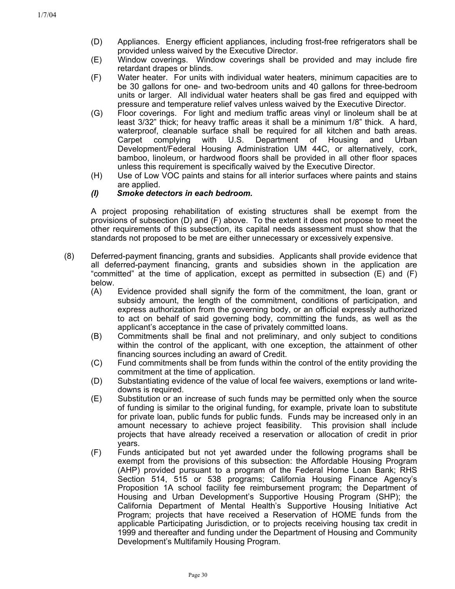- (D) Appliances. Energy efficient appliances, including frost-free refrigerators shall be provided unless waived by the Executive Director.
- (E) Window coverings. Window coverings shall be provided and may include fire retardant drapes or blinds.
- (F) Water heater. For units with individual water heaters, minimum capacities are to be 30 gallons for one- and two-bedroom units and 40 gallons for three-bedroom units or larger. All individual water heaters shall be gas fired and equipped with pressure and temperature relief valves unless waived by the Executive Director.
- (G) Floor coverings. For light and medium traffic areas vinyl or linoleum shall be at least 3/32" thick; for heavy traffic areas it shall be a minimum 1/8" thick. A hard, waterproof, cleanable surface shall be required for all kitchen and bath areas. Carpet complying with U.S. Department of Housing and Urban Development/Federal Housing Administration UM 44C, or alternatively, cork, bamboo, linoleum, or hardwood floors shall be provided in all other floor spaces unless this requirement is specifically waived by the Executive Director.
- (H) Use of Low VOC paints and stains for all interior surfaces where paints and stains are applied.

## *(I) Smoke detectors in each bedroom.*

A project proposing rehabilitation of existing structures shall be exempt from the provisions of subsection (D) and (F) above. To the extent it does not propose to meet the other requirements of this subsection, its capital needs assessment must show that the standards not proposed to be met are either unnecessary or excessively expensive.

- (8) Deferred-payment financing, grants and subsidies. Applicants shall provide evidence that all deferred-payment financing, grants and subsidies shown in the application are "committed" at the time of application, except as permitted in subsection (E) and (F) below.
	- (A) Evidence provided shall signify the form of the commitment, the loan, grant or subsidy amount, the length of the commitment, conditions of participation, and express authorization from the governing body, or an official expressly authorized to act on behalf of said governing body, committing the funds, as well as the applicant's acceptance in the case of privately committed loans.
	- (B) Commitments shall be final and not preliminary, and only subject to conditions within the control of the applicant, with one exception, the attainment of other financing sources including an award of Credit.
	- (C) Fund commitments shall be from funds within the control of the entity providing the commitment at the time of application.
	- (D) Substantiating evidence of the value of local fee waivers, exemptions or land writedowns is required.
	- (E) Substitution or an increase of such funds may be permitted only when the source of funding is similar to the original funding, for example, private loan to substitute for private loan, public funds for public funds. Funds may be increased only in an amount necessary to achieve project feasibility. This provision shall include projects that have already received a reservation or allocation of credit in prior years.
	- (F) Funds anticipated but not yet awarded under the following programs shall be exempt from the provisions of this subsection: the Affordable Housing Program (AHP) provided pursuant to a program of the Federal Home Loan Bank; RHS Section 514, 515 or 538 programs; California Housing Finance Agency's Proposition 1A school facility fee reimbursement program; the Department of Housing and Urban Development's Supportive Housing Program (SHP); the California Department of Mental Health's Supportive Housing Initiative Act Program; projects that have received a Reservation of HOME funds from the applicable Participating Jurisdiction, or to projects receiving housing tax credit in 1999 and thereafter and funding under the Department of Housing and Community Development's Multifamily Housing Program.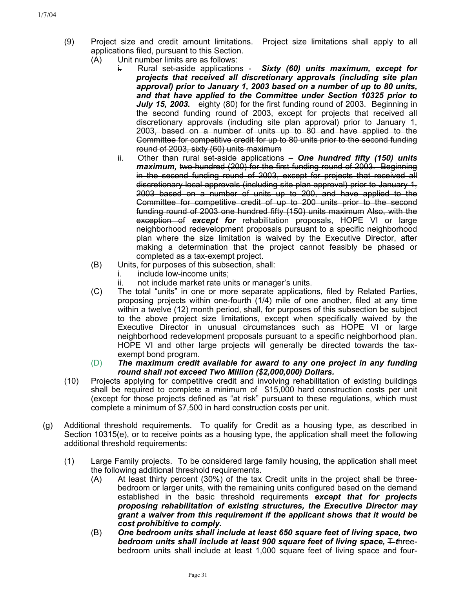- (9) Project size and credit amount limitations. Project size limitations shall apply to all applications filed, pursuant to this Section.
	- (A) Unit number limits are as follows:
		- i. Rural set-aside applications *Sixty (60) units maximum, except for projects that received all discretionary approvals (including site plan approval) prior to January 1, 2003 based on a number of up to 80 units, and that have applied to the Committee under Section 10325 prior to July 15, 2003.* eighty (80) for the first funding round of 2003. Beginning in the second funding round of 2003, except for projects that received all discretionary approvals (including site plan approval) prior to January 1, 2003, based on a number of units up to 80 and have applied to the Committee for competitive credit for up to 80 units prior to the second funding round of 2003, sixty (60) units maximum
		- ii. Other than rural set-aside applications *One hundred fifty (150) units maximum,* two-hundred (200) for the first funding round of 2003. Beginning in the second funding round of 2003, except for projects that received all discretionary local approvals (including site plan approval) prior to January 1, 2003 based on a number of units up to 200, and have applied to the Committee for competitive credit of up to 200 units prior to the second funding round of 2003 one hundred fifty (150) units maximum Also, with the exception of *except for* rehabilitation proposals, HOPE VI or large neighborhood redevelopment proposals pursuant to a specific neighborhood plan where the size limitation is waived by the Executive Director, after making a determination that the project cannot feasibly be phased or completed as a tax-exempt project.
	- (B) Units, for purposes of this subsection, shall:
		- i. include low-income units;
		- ii. not include market rate units or manager's units.
	- (C) The total "units" in one or more separate applications, filed by Related Parties, proposing projects within one-fourth (1/4) mile of one another, filed at any time within a twelve (12) month period, shall, for purposes of this subsection be subject to the above project size limitations, except when specifically waived by the Executive Director in unusual circumstances such as HOPE VI or large neighborhood redevelopment proposals pursuant to a specific neighborhood plan. HOPE VI and other large projects will generally be directed towards the taxexempt bond program.
	- (D) *The maximum credit available for award to any one project in any funding round shall not exceed Two Million (\$2,000,000) Dollars.*
- (10) Projects applying for competitive credit and involving rehabilitation of existing buildings shall be required to complete a minimum of \$15,000 hard construction costs per unit (except for those projects defined as "at risk" pursuant to these regulations, which must complete a minimum of \$7,500 in hard construction costs per unit.
- (g) Additional threshold requirements. To qualify for Credit as a housing type, as described in Section 10315(e), or to receive points as a housing type, the application shall meet the following additional threshold requirements:
	- (1) Large Family projects. To be considered large family housing, the application shall meet the following additional threshold requirements.
		- (A) At least thirty percent (30%) of the tax Credit units in the project shall be threebedroom or larger units, with the remaining units configured based on the demand established in the basic threshold requirements *except that for projects proposing rehabilitation of existing structures, the Executive Director may grant a waiver from this requirement if the applicant shows that it would be cost prohibitive to comply.*
		- (B) *One bedroom units shall include at least 650 square feet of living space, two bedroom units shall include at least 900 square feet of living space,*  $\pm$  *three*bedroom units shall include at least 1,000 square feet of living space and four-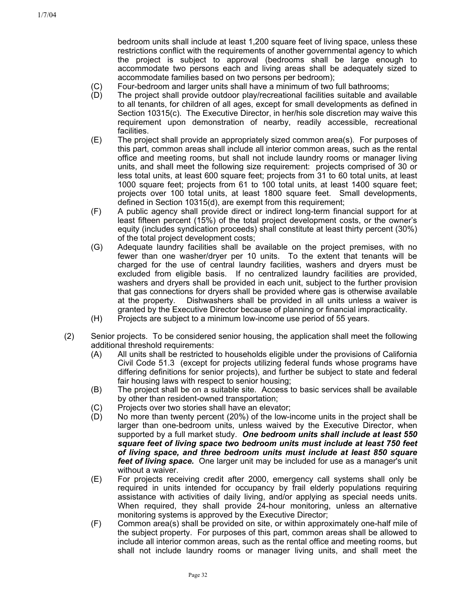bedroom units shall include at least 1,200 square feet of living space, unless these restrictions conflict with the requirements of another governmental agency to which the project is subject to approval (bedrooms shall be large enough to accommodate two persons each and living areas shall be adequately sized to accommodate families based on two persons per bedroom);

- (C) Four-bedroom and larger units shall have a minimum of two full bathrooms;
- (D) The project shall provide outdoor play/recreational facilities suitable and available to all tenants, for children of all ages, except for small developments as defined in Section 10315(c). The Executive Director, in her/his sole discretion may waive this requirement upon demonstration of nearby, readily accessible, recreational facilities.
- (E) The project shall provide an appropriately sized common area(s). For purposes of this part, common areas shall include all interior common areas, such as the rental office and meeting rooms, but shall not include laundry rooms or manager living units, and shall meet the following size requirement: projects comprised of 30 or less total units, at least 600 square feet; projects from 31 to 60 total units, at least 1000 square feet; projects from 61 to 100 total units, at least 1400 square feet; projects over 100 total units, at least 1800 square feet. Small developments, defined in Section 10315(d), are exempt from this requirement;
- (F) A public agency shall provide direct or indirect long-term financial support for at least fifteen percent (15%) of the total project development costs, or the owner's equity (includes syndication proceeds) shall constitute at least thirty percent (30%) of the total project development costs;
- (G) Adequate laundry facilities shall be available on the project premises, with no fewer than one washer/dryer per 10 units. To the extent that tenants will be charged for the use of central laundry facilities, washers and dryers must be excluded from eligible basis. If no centralized laundry facilities are provided, washers and dryers shall be provided in each unit, subject to the further provision that gas connections for dryers shall be provided where gas is otherwise available at the property. Dishwashers shall be provided in all units unless a waiver is granted by the Executive Director because of planning or financial impracticality.
- (H) Projects are subject to a minimum low-income use period of 55 years.
- (2) Senior projects. To be considered senior housing, the application shall meet the following additional threshold requirements:
	- (A) All units shall be restricted to households eligible under the provisions of California Civil Code 51.3 (except for projects utilizing federal funds whose programs have differing definitions for senior projects), and further be subject to state and federal fair housing laws with respect to senior housing;
	- (B) The project shall be on a suitable site. Access to basic services shall be available by other than resident-owned transportation;
	- (C) Projects over two stories shall have an elevator;
	- (D) No more than twenty percent (20%) of the low-income units in the project shall be larger than one-bedroom units, unless waived by the Executive Director, when supported by a full market study. *One bedroom units shall include at least 550 square feet of living space two bedroom units must include at least 750 feet of living space, and three bedroom units must include at least 850 square feet of living space.* One larger unit may be included for use as a manager's unit without a waiver.
	- (E) For projects receiving credit after 2000, emergency call systems shall only be required in units intended for occupancy by frail elderly populations requiring assistance with activities of daily living, and/or applying as special needs units. When required, they shall provide 24-hour monitoring, unless an alternative monitoring systems is approved by the Executive Director;
	- (F) Common area(s) shall be provided on site, or within approximately one-half mile of the subject property. For purposes of this part, common areas shall be allowed to include all interior common areas, such as the rental office and meeting rooms, but shall not include laundry rooms or manager living units, and shall meet the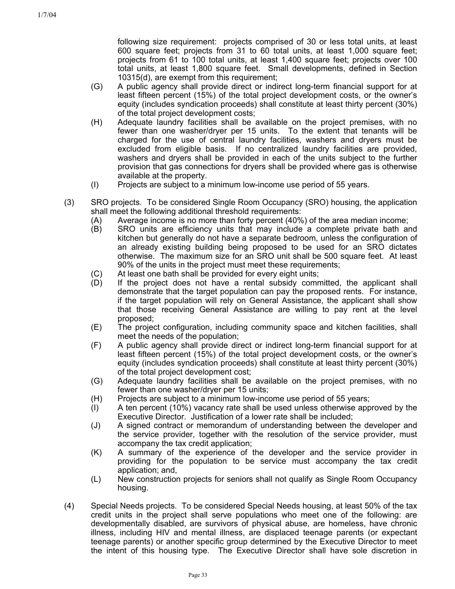following size requirement: projects comprised of 30 or less total units, at least 600 square feet; projects from 31 to 60 total units, at least 1,000 square feet; projects from 61 to 100 total units, at least 1,400 square feet; projects over 100 total units, at least 1,800 square feet. Small developments, defined in Section 10315(d), are exempt from this requirement;

- (G) A public agency shall provide direct or indirect long-term financial support for at least fifteen percent (15%) of the total project development costs, or the owner's equity (includes syndication proceeds) shall constitute at least thirty percent (30%) of the total project development costs;
- (H) Adequate laundry facilities shall be available on the project premises, with no fewer than one washer/dryer per 15 units. To the extent that tenants will be charged for the use of central laundry facilities, washers and dryers must be excluded from eligible basis. If no centralized laundry facilities are provided, washers and dryers shall be provided in each of the units subject to the further provision that gas connections for dryers shall be provided where gas is otherwise available at the property.
- (I) Projects are subject to a minimum low-income use period of 55 years.
- (3) SRO projects. To be considered Single Room Occupancy (SRO) housing, the application shall meet the following additional threshold requirements:
	- (A) Average income is no more than forty percent (40%) of the area median income;
	- (B) SRO units are efficiency units that may include a complete private bath and kitchen but generally do not have a separate bedroom, unless the configuration of an already existing building being proposed to be used for an SRO dictates otherwise. The maximum size for an SRO unit shall be 500 square feet. At least 90% of the units in the project must meet these requirements;
	- (C) At least one bath shall be provided for every eight units;
	- (D) If the project does not have a rental subsidy committed, the applicant shall demonstrate that the target population can pay the proposed rents. For instance, if the target population will rely on General Assistance, the applicant shall show that those receiving General Assistance are willing to pay rent at the level proposed;
	- (E) The project configuration, including community space and kitchen facilities, shall meet the needs of the population;
	- (F) A public agency shall provide direct or indirect long-term financial support for at least fifteen percent (15%) of the total project development costs, or the owner's equity (includes syndication proceeds) shall constitute at least thirty percent (30%) of the total project development cost;
	- (G) Adequate laundry facilities shall be available on the project premises, with no fewer than one washer/dryer per 15 units;
	- (H) Projects are subject to a minimum low-income use period of 55 years;
	- (I) A ten percent (10%) vacancy rate shall be used unless otherwise approved by the Executive Director. Justification of a lower rate shall be included;
	- (J) A signed contract or memorandum of understanding between the developer and the service provider, together with the resolution of the service provider, must accompany the tax credit application;
	- (K) A summary of the experience of the developer and the service provider in providing for the population to be service must accompany the tax credit application; and,
	- (L) New construction projects for seniors shall not qualify as Single Room Occupancy housing.
- (4) Special Needs projects. To be considered Special Needs housing, at least 50% of the tax credit units in the project shall serve populations who meet one of the following: are developmentally disabled, are survivors of physical abuse, are homeless, have chronic illness, including HIV and mental illness, are displaced teenage parents (or expectant teenage parents) or another specific group determined by the Executive Director to meet the intent of this housing type. The Executive Director shall have sole discretion in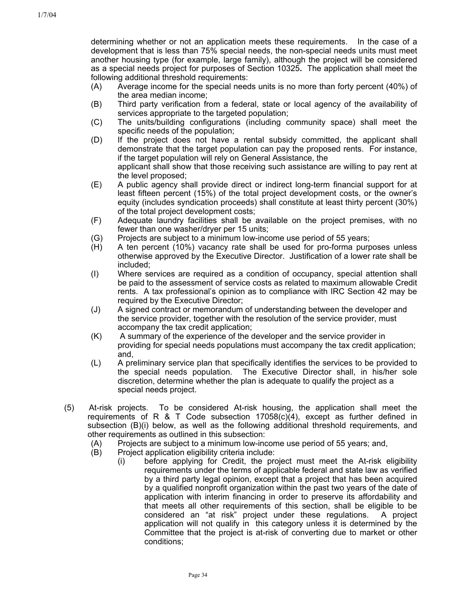determining whether or not an application meets these requirements. In the case of a development that is less than 75% special needs, the non-special needs units must meet another housing type (for example, large family), although the project will be considered as a special needs project for purposes of Section 10325**.** The application shall meet the following additional threshold requirements:

- (A) Average income for the special needs units is no more than forty percent (40%) of the area median income;
- (B) Third party verification from a federal, state or local agency of the availability of services appropriate to the targeted population;
- (C) The units/building configurations (including community space) shall meet the specific needs of the population;
- (D) If the project does not have a rental subsidy committed, the applicant shall demonstrate that the target population can pay the proposed rents. For instance, if the target population will rely on General Assistance, the applicant shall show that those receiving such assistance are willing to pay rent at the level proposed;
- (E) A public agency shall provide direct or indirect long-term financial support for at least fifteen percent (15%) of the total project development costs, or the owner's equity (includes syndication proceeds) shall constitute at least thirty percent (30%) of the total project development costs;
- (F) Adequate laundry facilities shall be available on the project premises, with no fewer than one washer/dryer per 15 units;
- (G) Projects are subject to a minimum low-income use period of 55 years;
- (H) A ten percent (10%) vacancy rate shall be used for pro-forma purposes unless otherwise approved by the Executive Director. Justification of a lower rate shall be included;
- (I) Where services are required as a condition of occupancy, special attention shall be paid to the assessment of service costs as related to maximum allowable Credit rents. A tax professional's opinion as to compliance with IRC Section 42 may be required by the Executive Director;
- (J) A signed contract or memorandum of understanding between the developer and the service provider, together with the resolution of the service provider, must accompany the tax credit application;
- (K) A summary of the experience of the developer and the service provider in providing for special needs populations must accompany the tax credit application; and,
- (L) A preliminary service plan that specifically identifies the services to be provided to the special needs population. The Executive Director shall, in his/her sole discretion, determine whether the plan is adequate to qualify the project as a special needs project.
- (5) At-risk projects. To be considered At-risk housing, the application shall meet the requirements of R & T Code subsection  $17058(c)(4)$ , except as further defined in subsection (B)(i) below, as well as the following additional threshold requirements, and other requirements as outlined in this subsection:
	- (A) Projects are subject to a minimum low-income use period of 55 years; and,
	- (B) Project application eligibility criteria include:
		- (i) before applying for Credit, the project must meet the At-risk eligibility requirements under the terms of applicable federal and state law as verified by a third party legal opinion, except that a project that has been acquired by a qualified nonprofit organization within the past two years of the date of application with interim financing in order to preserve its affordability and that meets all other requirements of this section, shall be eligible to be considered an "at risk" project under these regulations. A project application will not qualify in this category unless it is determined by the Committee that the project is at-risk of converting due to market or other conditions;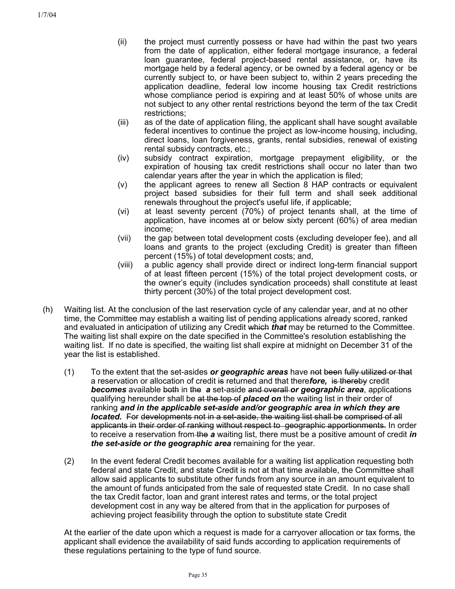- (ii) the project must currently possess or have had within the past two years from the date of application, either federal mortgage insurance, a federal loan guarantee, federal project-based rental assistance, or, have its mortgage held by a federal agency, or be owned by a federal agency orbe currently subject to, or have been subject to, within 2 years preceding the application deadline, federal low income housing tax Credit restrictions whose compliance period is expiring and at least 50% of whose units are not subject to any other rental restrictions beyond the term of the tax Credit restrictions;
- (iii) as of the date of application filing, the applicant shall have sought available federal incentives to continue the project as low-income housing, including, direct loans, loan forgiveness, grants, rental subsidies, renewal of existing rental subsidy contracts, etc.;
- (iv) subsidy contract expiration, mortgage prepayment eligibility, or the expiration of housing tax credit restrictions shall occur no later than two calendar years after the year in which the application is filed;
- (v) the applicant agrees to renew all Section 8 HAP contracts or equivalent project based subsidies for their full term and shall seek additional renewals throughout the project's useful life, if applicable;
- (vi) at least seventy percent (70%) of project tenants shall, at the time of application, have incomes at or below sixty percent (60%) of area median income;
- (vii) the gap between total development costs (excluding developer fee), and all loans and grants to the project (excluding Credit) is greater than fifteen percent (15%) of total development costs; and,
- (viii) a public agency shall provide direct or indirect long-term financial support of at least fifteen percent (15%) of the total project development costs, or the owner's equity (includes syndication proceeds) shall constitute at least thirty percent (30%) of the total project development cost.
- (h) Waiting list. At the conclusion of the last reservation cycle of any calendar year, and at no other time, the Committee may establish a waiting list of pending applications already scored, ranked and evaluated in anticipation of utilizing any Credit which *that* may be returned to the Committee. The waiting list shall expire on the date specified in the Committee's resolution establishing the waiting list. If no date is specified, the waiting list shall expire at midnight on December 31 of the year the list is established.
	- To the extent that the set-asides *or geographic areas* have not been fully utilized or that a reservation or allocation of credit is returned and that there*fore,* is thereby credit *becomes* available both in the *a* set-aside and overall *or geographic area*, applications qualifying hereunder shall be at the top of *placed on* the waiting list in their order of ranking *and in the applicable set-aside and/or geographic area in which they are located.* For developments not in a set-aside, the waiting list shall be comprised of all applicants in their order of ranking without respect to geographic apportionments. In order to receive a reservation from the *a* waiting list, there must be a positive amount of credit *in the set-aside or the geographic area* remaining for the year. (1)
	- (2) In the event federal Credit becomes available for a waiting list application requesting both federal and state Credit, and state Credit is not at that time available, the Committee shall allow said applicants to substitute other funds from any source in an amount equivalent to the amount of funds anticipated from the sale of requested state Credit. In no case shall the tax Credit factor, loan and grant interest rates and terms, or the total project development cost in any way be altered from that in the application for purposes of achieving project feasibility through the option to substitute state Credit

At the earlier of the date upon which a request is made for a carryover allocation or tax forms, the applicant shall evidence the availability of said funds according to application requirements of these regulations pertaining to the type of fund source.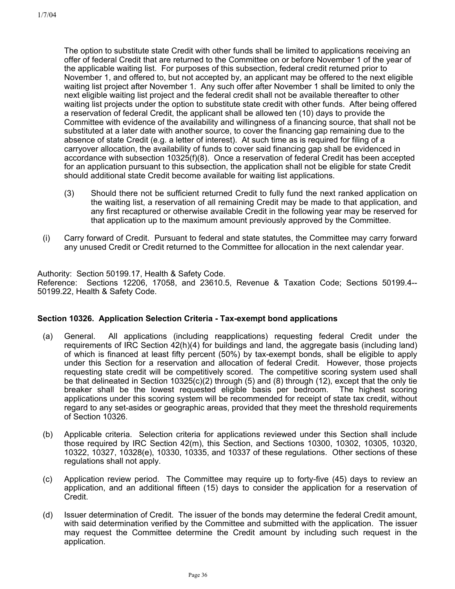The option to substitute state Credit with other funds shall be limited to applications receiving an offer of federal Credit that are returned to the Committee on or before November 1 of the year of the applicable waiting list. For purposes of this subsection, federal credit returned prior to November 1, and offered to, but not accepted by, an applicant may be offered to the next eligible waiting list project after November 1. Any such offer after November 1 shall be limited to only the next eligible waiting list project and the federal credit shall not be available thereafter to other waiting list projects under the option to substitute state credit with other funds. After being offered a reservation of federal Credit, the applicant shall be allowed ten (10) days to provide the Committee with evidence of the availability and willingness of a financing source, that shall not be substituted at a later date with another source, to cover the financing gap remaining due to the absence of state Credit (e.g. a letter of interest). At such time as is required for filing of a carryover allocation, the availability of funds to cover said financing gap shall be evidenced in accordance with subsection 10325(f)(8). Once a reservation of federal Credit has been accepted for an application pursuant to this subsection, the application shall not be eligible for state Credit should additional state Credit become available for waiting list applications.

- (3) Should there not be sufficient returned Credit to fully fund the next ranked application on the waiting list, a reservation of all remaining Credit may be made to that application, and any first recaptured or otherwise available Credit in the following year may be reserved for that application up to the maximum amount previously approved by the Committee.
- (i) Carry forward of Credit. Pursuant to federal and state statutes, the Committee may carry forward any unused Credit or Credit returned to the Committee for allocation in the next calendar year.

Authority: Section 50199.17, Health & Safety Code. Reference: Sections 12206, 17058, and 23610.5, Revenue & Taxation Code; Sections 50199.4-- 50199.22, Health & Safety Code.

## **Section 10326. Application Selection Criteria - Tax-exempt bond applications**

- (a) General. All applications (including reapplications) requesting federal Credit under the requirements of IRC Section 42(h)(4) for buildings and land, the aggregate basis (including land) of which is financed at least fifty percent (50%) by tax-exempt bonds, shall be eligible to apply under this Section for a reservation and allocation of federal Credit. However, those projects requesting state credit will be competitively scored. The competitive scoring system used shall be that delineated in Section 10325(c)(2) through (5) and (8) through (12), except that the only tie breaker shall be the lowest requested eligible basis per bedroom. The highest scoring applications under this scoring system will be recommended for receipt of state tax credit, without regard to any set-asides or geographic areas, provided that they meet the threshold requirements of Section 10326.
- (b) Applicable criteria. Selection criteria for applications reviewed under this Section shall include those required by IRC Section 42(m), this Section, and Sections 10300, 10302, 10305, 10320, 10322, 10327, 10328(e), 10330, 10335, and 10337 of these regulations. Other sections of these regulations shall not apply.
- (c) Application review period. The Committee may require up to forty-five (45) days to review an application, and an additional fifteen (15) days to consider the application for a reservation of Credit.
- (d) Issuer determination of Credit. The issuer of the bonds may determine the federal Credit amount, with said determination verified by the Committee and submitted with the application. The issuer may request the Committee determine the Credit amount by including such request in the application.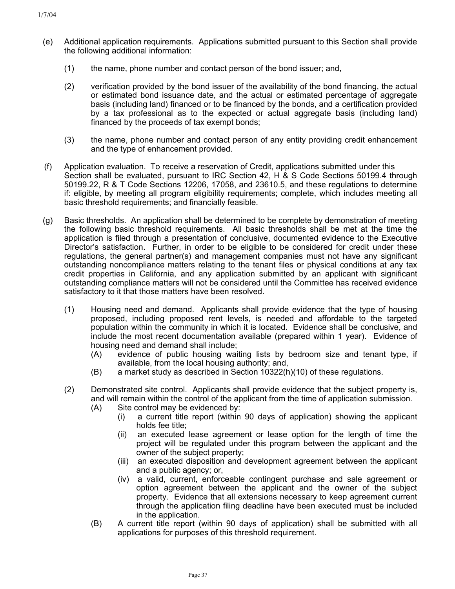- (e) Additional application requirements. Applications submitted pursuant to this Section shall provide the following additional information:
	- (1) the name, phone number and contact person of the bond issuer; and,
	- (2) verification provided by the bond issuer of the availability of the bond financing, the actual or estimated bond issuance date, and the actual or estimated percentage of aggregate basis (including land) financed or to be financed by the bonds, and a certification provided by a tax professional as to the expected or actual aggregate basis (including land) financed by the proceeds of tax exempt bonds;
	- (3) the name, phone number and contact person of any entity providing credit enhancement and the type of enhancement provided.
- (f) Application evaluation. To receive a reservation of Credit, applications submitted under this Section shall be evaluated, pursuant to IRC Section 42, H & S Code Sections 50199.4 through 50199.22, R & T Code Sections 12206, 17058, and 23610.5, and these regulations to determine if: eligible, by meeting all program eligibility requirements; complete, which includes meeting all basic threshold requirements; and financially feasible.
- (g) Basic thresholds. An application shall be determined to be complete by demonstration of meeting the following basic threshold requirements. All basic thresholds shall be met at the time the application is filed through a presentation of conclusive, documented evidence to the Executive Director's satisfaction. Further, in order to be eligible to be considered for credit under these regulations, the general partner(s) and management companies must not have any significant outstanding noncompliance matters relating to the tenant files or physical conditions at any tax credit properties in California, and any application submitted by an applicant with significant outstanding compliance matters will not be considered until the Committee has received evidence satisfactory to it that those matters have been resolved.
	- (1) Housing need and demand. Applicants shall provide evidence that the type of housing proposed, including proposed rent levels, is needed and affordable to the targeted population within the community in which it is located. Evidence shall be conclusive, and include the most recent documentation available (prepared within 1 year). Evidence of housing need and demand shall include;
		- (A) evidence of public housing waiting lists by bedroom size and tenant type, if available, from the local housing authority; and,
		- (B) a market study as described in Section 10322(h)(10) of these regulations.
	- (2) Demonstrated site control. Applicants shall provide evidence that the subject property is, and will remain within the control of the applicant from the time of application submission.
		- (A) Site control may be evidenced by:
			- (i) a current title report (within 90 days of application) showing the applicant holds fee title;
			- (ii) an executed lease agreement or lease option for the length of time the project will be regulated under this program between the applicant and the owner of the subject property;
			- (iii) an executed disposition and development agreement between the applicant and a public agency; or,
			- (iv) a valid, current, enforceable contingent purchase and sale agreement or option agreement between the applicant and the owner of the subject property. Evidence that all extensions necessary to keep agreement current through the application filing deadline have been executed must be included in the application.
		- (B) A current title report (within 90 days of application) shall be submitted with all applications for purposes of this threshold requirement.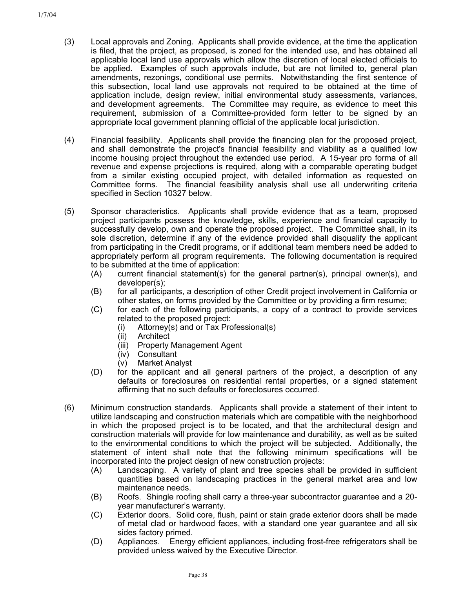- (3) Local approvals and Zoning. Applicants shall provide evidence, at the time the application is filed, that the project, as proposed, is zoned for the intended use, and has obtained all applicable local land use approvals which allow the discretion of local elected officials to be applied. Examples of such approvals include, but are not limited to, general plan amendments, rezonings, conditional use permits. Notwithstanding the first sentence of this subsection, local land use approvals not required to be obtained at the time of application include, design review, initial environmental study assessments, variances, and development agreements. The Committee may require, as evidence to meet this requirement, submission of a Committee-provided form letter to be signed by an appropriate local government planning official of the applicable local jurisdiction.
- (4) Financial feasibility. Applicants shall provide the financing plan for the proposed project, and shall demonstrate the project's financial feasibility and viability as a qualified low income housing project throughout the extended use period. A 15-year pro forma of all revenue and expense projections is required, along with a comparable operating budget from a similar existing occupied project, with detailed information as requested on Committee forms. The financial feasibility analysis shall use all underwriting criteria specified in Section 10327 below.
- (5) Sponsor characteristics. Applicants shall provide evidence that as a team, proposed project participants possess the knowledge, skills, experience and financial capacity to successfully develop, own and operate the proposed project. The Committee shall, in its sole discretion, determine if any of the evidence provided shall disqualify the applicant from participating in the Credit programs, or if additional team members need be added to appropriately perform all program requirements. The following documentation is required to be submitted at the time of application:
	- (A) current financial statement(s) for the general partner(s), principal owner(s), and developer(s);
	- (B) for all participants, a description of other Credit project involvement in California or other states, on forms provided by the Committee or by providing a firm resume;
	- (C) for each of the following participants, a copy of a contract to provide services related to the proposed project:
		- (i) Attorney(s) and or Tax Professional(s)
		- (ii) Architect
		- (iii) Property Management Agent
		- (iv) Consultant
		- (v) Market Analyst
	- (D) for the applicant and all general partners of the project, a description of any defaults or foreclosures on residential rental properties, or a signed statement affirming that no such defaults or foreclosures occurred.
- (6) Minimum construction standards. Applicants shall provide a statement of their intent to utilize landscaping and construction materials which are compatible with the neighborhood in which the proposed project is to be located, and that the architectural design and construction materials will provide for low maintenance and durability, as well as be suited to the environmental conditions to which the project will be subjected. Additionally, the statement of intent shall note that the following minimum specifications will be incorporated into the project design of new construction projects:
	- (A) Landscaping. A variety of plant and tree species shall be provided in sufficient quantities based on landscaping practices in the general market area and low maintenance needs.
	- (B) Roofs. Shingle roofing shall carry a three-year subcontractor guarantee and a 20 year manufacturer's warranty.
	- (C) Exterior doors. Solid core, flush, paint or stain grade exterior doors shall be made of metal clad or hardwood faces, with a standard one year guarantee and all six sides factory primed.
	- (D) Appliances. Energy efficient appliances, including frost-free refrigerators shall be provided unless waived by the Executive Director.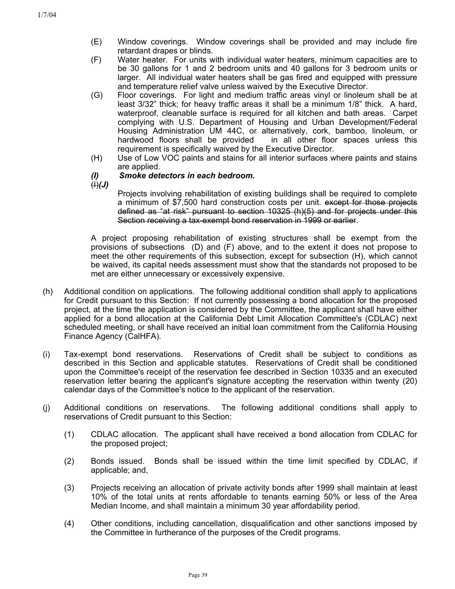- (E) Window coverings. Window coverings shall be provided and may include fire retardant drapes or blinds.
- (F) Water heater. For units with individual water heaters, minimum capacities are to be 30 gallons for 1 and 2 bedroom units and 40 gallons for 3 bedroom units or larger. All individual water heaters shall be gas fired and equipped with pressure and temperature relief valve unless waived by the Executive Director.
- (G) Floor coverings. For light and medium traffic areas vinyl or linoleum shall be at least 3/32" thick; for heavy traffic areas it shall be a minimum 1/8" thick. A hard, waterproof, cleanable surface is required for all kitchen and bath areas. Carpet complying with U.S. Department of Housing and Urban Development/Federal Housing Administration UM 44C, or alternatively, cork, bamboo, linoleum, or hardwood floors shall be provided in all other floor spaces unless this requirement is specifically waived by the Executive Director.
- (H) Use of Low VOC paints and stains for all interior surfaces where paints and stains are applied.

# *(I) Smoke detectors in each bedroom.*

 $(H)(J)$ 

Projects involving rehabilitation of existing buildings shall be required to complete a minimum of \$7,500 hard construction costs per unit. except for those projects defined as "at risk" pursuant to section 10325 (h)(5) and for projects under this Section receiving a tax-exempt bond reservation in 1999 or earlier.

A project proposing rehabilitation of existing structures shall be exempt from the provisions of subsections (D) and (F) above, and to the extent it does not propose to meet the other requirements of this subsection, except for subsection (H), which cannot be waived, its capital needs assessment must show that the standards not proposed to be met are either unnecessary or excessively expensive.

- (h) Additional condition on applications. The following additional condition shall apply to applications for Credit pursuant to this Section: If not currently possessing a bond allocation for the proposed project, at the time the application is considered by the Committee, the applicant shall have either applied for a bond allocation at the California Debt Limit Allocation Committee's (CDLAC) next scheduled meeting, or shall have received an initial loan commitment from the California Housing Finance Agency (CalHFA).
- (i) Tax-exempt bond reservations. Reservations of Credit shall be subject to conditions as described in this Section and applicable statutes. Reservations of Credit shall be conditioned upon the Committee's receipt of the reservation fee described in Section 10335 and an executed reservation letter bearing the applicant's signature accepting the reservation within twenty (20) calendar days of the Committee's notice to the applicant of the reservation.
- (j) Additional conditions on reservations. The following additional conditions shall apply to reservations of Credit pursuant to this Section:
	- (1) CDLAC allocation. The applicant shall have received a bond allocation from CDLAC for the proposed project;
	- (2) Bonds issued. Bonds shall be issued within the time limit specified by CDLAC, if applicable; and,
	- (3) Projects receiving an allocation of private activity bonds after 1999 shall maintain at least 10% of the total units at rents affordable to tenants earning 50% or less of the Area Median Income, and shall maintain a minimum 30 year affordability period.
	- (4) Other conditions, including cancellation, disqualification and other sanctions imposed by the Committee in furtherance of the purposes of the Credit programs.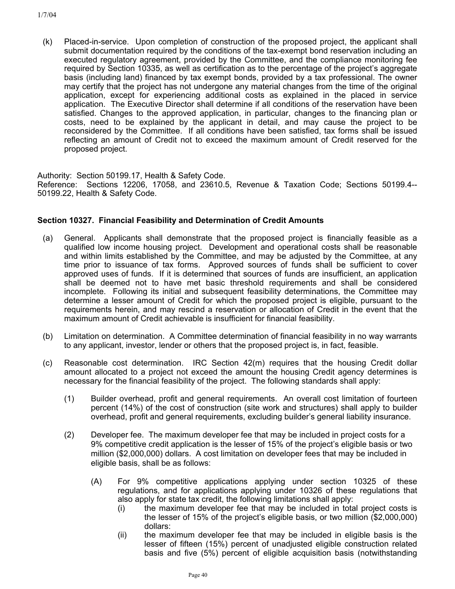(k) Placed-in-service. Upon completion of construction of the proposed project, the applicant shall submit documentation required by the conditions of the tax-exempt bond reservation including an executed regulatory agreement, provided by the Committee, and the compliance monitoring fee required by Section 10335, as well as certification as to the percentage of the project's aggregate basis (including land) financed by tax exempt bonds, provided by a tax professional. The owner may certify that the project has not undergone any material changes from the time of the original application, except for experiencing additional costs as explained in the placed in service application.The Executive Director shall determine if all conditions of the reservation have been satisfied. Changes to the approved application, in particular, changes to the financing plan or costs, need to be explained by the applicant in detail, and may cause the project to be reconsidered by the Committee. If all conditions have been satisfied, tax forms shall be issued reflecting an amount of Credit not to exceed the maximum amount of Credit reserved for the proposed project.

Authority: Section 50199.17, Health & Safety Code.

Reference: Sections 12206, 17058, and 23610.5, Revenue & Taxation Code; Sections 50199.4-- 50199.22, Health & Safety Code.

## **Section 10327. Financial Feasibility and Determination of Credit Amounts**

- (a) General. Applicants shall demonstrate that the proposed project is financially feasible as a qualified low income housing project. Development and operational costs shall be reasonable and within limits established by the Committee, and may be adjusted by the Committee, at any time prior to issuance of tax forms. Approved sources of funds shall be sufficient to cover approved uses of funds. If it is determined that sources of funds are insufficient, an application shall be deemed not to have met basic threshold requirements and shall be considered incomplete. Following its initial and subsequent feasibility determinations, the Committee may determine a lesser amount of Credit for which the proposed project is eligible, pursuant to the requirements herein, and may rescind a reservation or allocation of Credit in the event that the maximum amount of Credit achievable is insufficient for financial feasibility.
- (b) Limitation on determination. A Committee determination of financial feasibility in no way warrants to any applicant, investor, lender or others that the proposed project is, in fact, feasible.
- (c) Reasonable cost determination. IRC Section 42(m) requires that the housing Credit dollar amount allocated to a project not exceed the amount the housing Credit agency determines is necessary for the financial feasibility of the project. The following standards shall apply:
	- (1) Builder overhead, profit and general requirements. An overall cost limitation of fourteen percent (14%) of the cost of construction (site work and structures) shall apply to builder overhead, profit and general requirements, excluding builder's general liability insurance.
	- (2) Developer fee. The maximum developer fee that may be included in project costs for a 9% competitive credit application is the lesser of 15% of the project's eligible basis or two million (\$2,000,000) dollars. A cost limitation on developer fees that may be included in eligible basis, shall be as follows:
		- (A) For 9% competitive applications applying under section 10325 of these regulations, and for applications applying under 10326 of these regulations that also apply for state tax credit, the following limitations shall apply:
			- (i) the maximum developer fee that may be included in total project costs is the lesser of 15% of the project's eligible basis, or two million (\$2,000,000) dollars:
			- (ii) the maximum developer fee that may be included in eligible basis is the lesser of fifteen (15%) percent of unadjusted eligible construction related basis and five (5%) percent of eligible acquisition basis (notwithstanding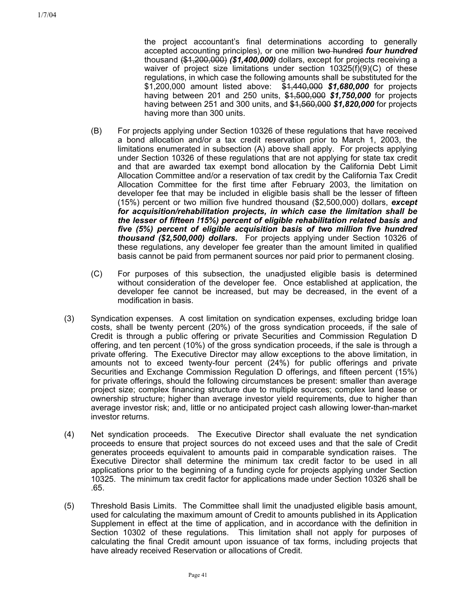the project accountant's final determinations according to generally accepted accounting principles), or one million two hundred *four hundred* thousand (\$1,200,000) *(\$1,400,000)* dollars, except for projects receiving a waiver of project size limitations under section 10325(f)(9)(C) of these regulations, in which case the following amounts shall be substituted for the \$1,200,000 amount listed above: \$1,440,000 *\$1,680,000* for projects having between 201 and 250 units, \$1,500,000 *\$1,750,000* for projects having between 251 and 300 units, and \$1,560,000 *\$1,820,000* for projects having more than 300 units.

- (B) For projects applying under Section 10326 of these regulations that have received a bond allocation and/or a tax credit reservation prior to March 1, 2003, the limitations enumerated in subsection (A) above shall apply. For projects applying under Section 10326 of these regulations that are not applying for state tax credit and that are awarded tax exempt bond allocation by the California Debt Limit Allocation Committee and/or a reservation of tax credit by the California Tax Credit Allocation Committee for the first time after February 2003, the limitation on developer fee that may be included in eligible basis shall be the lesser of fifteen (15%) percent or two million five hundred thousand (\$2,500,000) dollars, *except for acquisition/rehabilitation projects, in which case the limitation shall be the lesser of fifteen !15%) percent of eligible rehabilitation related basis and five (5%) percent of eligible acquisition basis of two million five hundred thousand (\$2,500,000) dollars.* For projects applying under Section 10326 of these regulations, any developer fee greater than the amount limited in qualified basis cannot be paid from permanent sources nor paid prior to permanent closing.
- (C) For purposes of this subsection, the unadjusted eligible basis is determined without consideration of the developer fee. Once established at application, the developer fee cannot be increased, but may be decreased, in the event of a modification in basis.
- (3) Syndication expenses. A cost limitation on syndication expenses, excluding bridge loan costs, shall be twenty percent (20%) of the gross syndication proceeds, if the sale of Credit is through a public offering or private Securities and Commission Regulation D offering, and ten percent (10%) of the gross syndication proceeds, if the sale is through a private offering. The Executive Director may allow exceptions to the above limitation, in amounts not to exceed twenty-four percent (24%) for public offerings and private Securities and Exchange Commission Regulation D offerings, and fifteen percent (15%) for private offerings, should the following circumstances be present: smaller than average project size; complex financing structure due to multiple sources; complex land lease or ownership structure; higher than average investor yield requirements, due to higher than average investor risk; and, little or no anticipated project cash allowing lower-than-market investor returns.
- (4) Net syndication proceeds. The Executive Director shall evaluate the net syndication proceeds to ensure that project sources do not exceed uses and that the sale of Credit generates proceeds equivalent to amounts paid in comparable syndication raises. The Executive Director shall determine the minimum tax credit factor to be used in all applications prior to the beginning of a funding cycle for projects applying under Section 10325. The minimum tax credit factor for applications made under Section 10326 shall be .65.
- (5) Threshold Basis Limits. The Committee shall limit the unadjusted eligible basis amount, used for calculating the maximum amount of Credit to amounts published in its Application Supplement in effect at the time of application, and in accordance with the definition in Section 10302 of these regulations. This limitation shall not apply for purposes of calculating the final Credit amount upon issuance of tax forms, including projects that have already received Reservation or allocations of Credit.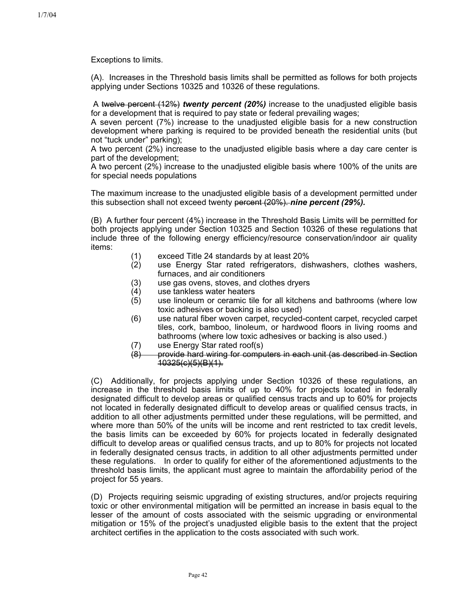Exceptions to limits.

(A). Increases in the Threshold basis limits shall be permitted as follows for both projects applying under Sections 10325 and 10326 of these regulations.

 A twelve percent (12%) *twenty percent (20%)* increase to the unadjusted eligible basis for a development that is required to pay state or federal prevailing wages;

A seven percent (7%) increase to the unadjusted eligible basis for a new construction development where parking is required to be provided beneath the residential units (but not "tuck under" parking);

A two percent (2%) increase to the unadjusted eligible basis where a day care center is part of the development;

A two percent (2%) increase to the unadjusted eligible basis where 100% of the units are for special needs populations

The maximum increase to the unadjusted eligible basis of a development permitted under this subsection shall not exceed twenty percent (20%). *nine percent (29%).* 

(B) A further four percent (4%) increase in the Threshold Basis Limits will be permitted for both projects applying under Section 10325 and Section 10326 of these regulations that include three of the following energy efficiency/resource conservation/indoor air quality items:

- (1) exceed Title 24 standards by at least 20%
- (2) use Energy Star rated refrigerators, dishwashers, clothes washers, furnaces, and air conditioners
- (3) use gas ovens, stoves, and clothes dryers
- (4) use tankless water heaters
- (5) use linoleum or ceramic tile for all kitchens and bathrooms (where low toxic adhesives or backing is also used)
- (6) use natural fiber woven carpet, recycled-content carpet, recycled carpet tiles, cork, bamboo, linoleum, or hardwood floors in living rooms and bathrooms (where low toxic adhesives or backing is also used.)
- (7) use Energy Star rated roof(s)
- (8) provide hard wiring for computers in each unit (as described in Section 10325(c)(5)(B)(1).

(C) Additionally, for projects applying under Section 10326 of these regulations, an increase in the threshold basis limits of up to 40% for projects located in federally designated difficult to develop areas or qualified census tracts and up to 60% for projects not located in federally designated difficult to develop areas or qualified census tracts, in addition to all other adjustments permitted under these regulations, will be permitted, and where more than 50% of the units will be income and rent restricted to tax credit levels, the basis limits can be exceeded by 60% for projects located in federally designated difficult to develop areas or qualified census tracts, and up to 80% for projects not located in federally designated census tracts, in addition to all other adjustments permitted under these regulations. In order to qualify for either of the aforementioned adjustments to the threshold basis limits, the applicant must agree to maintain the affordability period of the project for 55 years.

(D) Projects requiring seismic upgrading of existing structures, and/or projects requiring toxic or other environmental mitigation will be permitted an increase in basis equal to the lesser of the amount of costs associated with the seismic upgrading or environmental mitigation or 15% of the project's unadjusted eligible basis to the extent that the project architect certifies in the application to the costs associated with such work.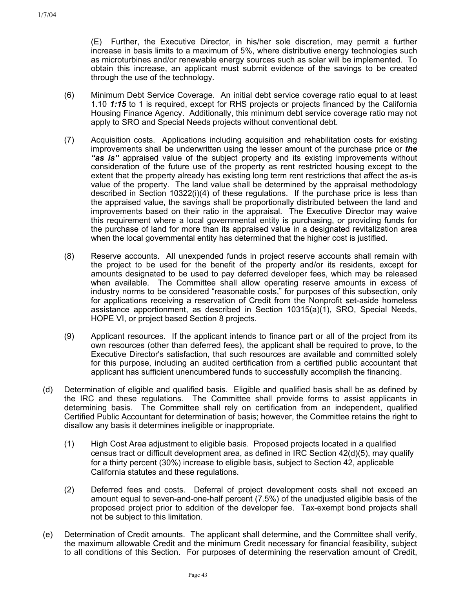(E) Further, the Executive Director, in his/her sole discretion, may permit a further increase in basis limits to a maximum of 5%, where distributive energy technologies such as microturbines and/or renewable energy sources such as solar will be implemented. To obtain this increase, an applicant must submit evidence of the savings to be created through the use of the technology.

- (6) Minimum Debt Service Coverage. An initial debt service coverage ratio equal to at least 1.10 *1:15* to 1 is required, except for RHS projects or projects financed by the California Housing Finance Agency. Additionally, this minimum debt service coverage ratio may not apply to SRO and Special Needs projects without conventional debt.
- (7) Acquisition costs. Applications including acquisition and rehabilitation costs for existing improvements shall be underwritten using the lesser amount of the purchase price or *the "as is"* appraised value of the subject property and its existing improvements without consideration of the future use of the property as rent restricted housing except to the extent that the property already has existing long term rent restrictions that affect the as-is value of the property. The land value shall be determined by the appraisal methodology described in Section 10322(i)(4) of these regulations. If the purchase price is less than the appraised value, the savings shall be proportionally distributed between the land and improvements based on their ratio in the appraisal. The Executive Director may waive this requirement where a local governmental entity is purchasing, or providing funds for the purchase of land for more than its appraised value in a designated revitalization area when the local governmental entity has determined that the higher cost is justified.
- (8) Reserve accounts. All unexpended funds in project reserve accounts shall remain with the project to be used for the benefit of the property and/or its residents, except for amounts designated to be used to pay deferred developer fees, which may be released when available. The Committee shall allow operating reserve amounts in excess of industry norms to be considered "reasonable costs," for purposes of this subsection, only for applications receiving a reservation of Credit from the Nonprofit set-aside homeless assistance apportionment, as described in Section 10315(a)(1), SRO, Special Needs, HOPE VI, or project based Section 8 projects.
- (9) Applicant resources. If the applicant intends to finance part or all of the project from its own resources (other than deferred fees), the applicant shall be required to prove, to the Executive Director's satisfaction, that such resources are available and committed solely for this purpose, including an audited certification from a certified public accountant that applicant has sufficient unencumbered funds to successfully accomplish the financing.
- (d) Determination of eligible and qualified basis. Eligible and qualified basis shall be as defined by the IRC and these regulations. The Committee shall provide forms to assist applicants in determining basis. The Committee shall rely on certification from an independent, qualified Certified Public Accountant for determination of basis; however, the Committee retains the right to disallow any basis it determines ineligible or inappropriate.
	- (1) High Cost Area adjustment to eligible basis. Proposed projects located in a qualified census tract or difficult development area, as defined in IRC Section 42(d)(5), may qualify for a thirty percent (30%) increase to eligible basis, subject to Section 42, applicable California statutes and these regulations.
	- (2) Deferred fees and costs. Deferral of project development costs shall not exceed an amount equal to seven-and-one-half percent (7.5%) of the unadjusted eligible basis of the proposed project prior to addition of the developer fee. Tax-exempt bond projects shall not be subject to this limitation.
- (e) Determination of Credit amounts. The applicant shall determine, and the Committee shall verify, the maximum allowable Credit and the minimum Credit necessary for financial feasibility, subject to all conditions of this Section. For purposes of determining the reservation amount of Credit,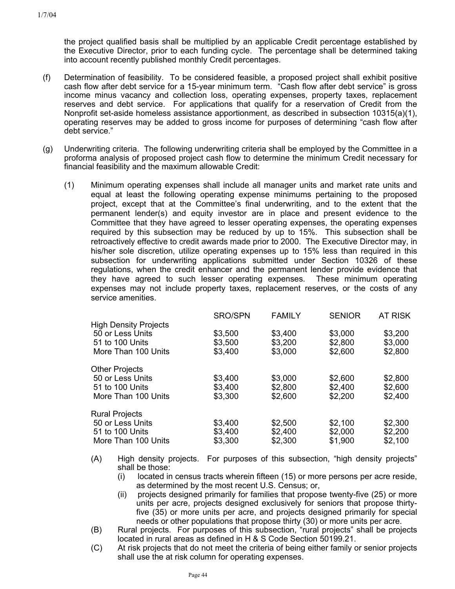the project qualified basis shall be multiplied by an applicable Credit percentage established by the Executive Director, prior to each funding cycle. The percentage shall be determined taking into account recently published monthly Credit percentages.

- (f) Determination of feasibility. To be considered feasible, a proposed project shall exhibit positive cash flow after debt service for a 15-year minimum term. "Cash flow after debt service" is gross income minus vacancy and collection loss, operating expenses, property taxes, replacement reserves and debt service. For applications that qualify for a reservation of Credit from the Nonprofit set-aside homeless assistance apportionment, as described in subsection 10315(a)(1), operating reserves may be added to gross income for purposes of determining "cash flow after debt service."
- (g) Underwriting criteria. The following underwriting criteria shall be employed by the Committee in a proforma analysis of proposed project cash flow to determine the minimum Credit necessary for financial feasibility and the maximum allowable Credit:
	- (1) Minimum operating expenses shall include all manager units and market rate units and equal at least the following operating expense minimums pertaining to the proposed project, except that at the Committee's final underwriting, and to the extent that the permanent lender(s) and equity investor are in place and present evidence to the Committee that they have agreed to lesser operating expenses, the operating expenses required by this subsection may be reduced by up to 15%. This subsection shall be retroactively effective to credit awards made prior to 2000. The Executive Director may, in his/her sole discretion, utilize operating expenses up to 15% less than required in this subsection for underwriting applications submitted under Section 10326 of these regulations, when the credit enhancer and the permanent lender provide evidence that they have agreed to such lesser operating expenses. These minimum operating expenses may not include property taxes, replacement reserves, or the costs of any service amenities.

|                              | <b>SRO/SPN</b> | <b>FAMILY</b> | <b>SENIOR</b> | <b>AT RISK</b> |
|------------------------------|----------------|---------------|---------------|----------------|
| <b>High Density Projects</b> |                |               |               |                |
| 50 or Less Units             | \$3,500        | \$3,400       | \$3,000       | \$3,200        |
| 51 to 100 Units              | \$3,500        | \$3,200       | \$2,800       | \$3,000        |
| More Than 100 Units          | \$3,400        | \$3,000       | \$2,600       | \$2,800        |
| <b>Other Projects</b>        |                |               |               |                |
| 50 or Less Units             | \$3,400        | \$3,000       | \$2,600       | \$2,800        |
| 51 to 100 Units              | \$3,400        | \$2,800       | \$2,400       | \$2,600        |
| More Than 100 Units          | \$3,300        | \$2,600       | \$2,200       | \$2,400        |
| <b>Rural Projects</b>        |                |               |               |                |
| 50 or Less Units             | \$3,400        | \$2,500       | \$2,100       | \$2,300        |
| 51 to 100 Units              | \$3,400        | \$2,400       | \$2,000       | \$2,200        |
| More Than 100 Units          | \$3,300        | \$2,300       | \$1,900       | \$2,100        |

- (A) High density projects. For purposes of this subsection, "high density projects" shall be those:
	- (i) located in census tracts wherein fifteen (15) or more persons per acre reside, as determined by the most recent U.S. Census; or,
	- (ii) projects designed primarily for families that propose twenty-five (25) or more units per acre, projects designed exclusively for seniors that propose thirtyfive (35) or more units per acre, and projects designed primarily for special needs or other populations that propose thirty (30) or more units per acre.
- (B) Rural projects. For purposes of this subsection, "rural projects" shall be projects located in rural areas as defined in H & S Code Section 50199.21.
- (C) At risk projects that do not meet the criteria of being either family or senior projects shall use the at risk column for operating expenses.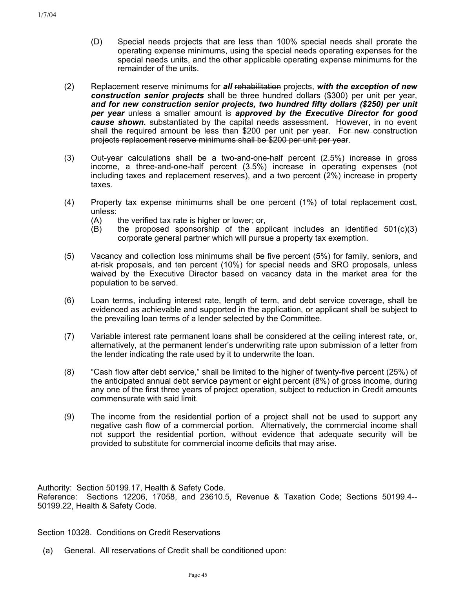- (D) Special needs projects that are less than 100% special needs shall prorate the operating expense minimums, using the special needs operating expenses for the special needs units, and the other applicable operating expense minimums for the remainder of the units.
- Replacement reserve minimums for *all* rehabilitation projects, *with the exception of new construction senior projects* shall be three hundred dollars (\$300) per unit per year, and for new construction senior projects, two hundred fifty dollars (\$250) per unit *per year* unless a smaller amount is *approved by the Executive Director for good cause shown.* substantiated by the capital needs assessment. However, in no event shall the required amount be less than \$200 per unit per year. For new construction projects replacement reserve minimums shall be \$200 per unit per year. (2)
- (3) Out-year calculations shall be a two-and-one-half percent (2.5%) increase in gross income, a three-and-one-half percent (3.5%) increase in operating expenses (not including taxes and replacement reserves), and a two percent (2%) increase in property taxes.
- (4) Property tax expense minimums shall be one percent (1%) of total replacement cost, unless:
	- (A) the verified tax rate is higher or lower; or,
	- $(B)$  the proposed sponsorship of the applicant includes an identified  $501(c)(3)$ corporate general partner which will pursue a property tax exemption.
- (5) Vacancy and collection loss minimums shall be five percent (5%) for family, seniors, and at-risk proposals, and ten percent (10%) for special needs and SRO proposals, unless waived by the Executive Director based on vacancy data in the market area for the population to be served.
- (6) Loan terms, including interest rate, length of term, and debt service coverage, shall be evidenced as achievable and supported in the application, or applicant shall be subject to the prevailing loan terms of a lender selected by the Committee.
- (7) Variable interest rate permanent loans shall be considered at the ceiling interest rate, or, alternatively, at the permanent lender's underwriting rate upon submission of a letter from the lender indicating the rate used by it to underwrite the loan.
- (8) "Cash flow after debt service," shall be limited to the higher of twenty-five percent (25%) of the anticipated annual debt service payment or eight percent (8%) of gross income, during any one of the first three years of project operation, subject to reduction in Credit amounts commensurate with said limit.
- (9) The income from the residential portion of a project shall not be used to support any negative cash flow of a commercial portion. Alternatively, the commercial income shall not support the residential portion, without evidence that adequate security will be provided to substitute for commercial income deficits that may arise.

Authority: Section 50199.17, Health & Safety Code. Reference: Sections 12206, 17058, and 23610.5, Revenue & Taxation Code; Sections 50199.4-- 50199.22, Health & Safety Code.

Section 10328. Conditions on Credit Reservations

(a) General. All reservations of Credit shall be conditioned upon: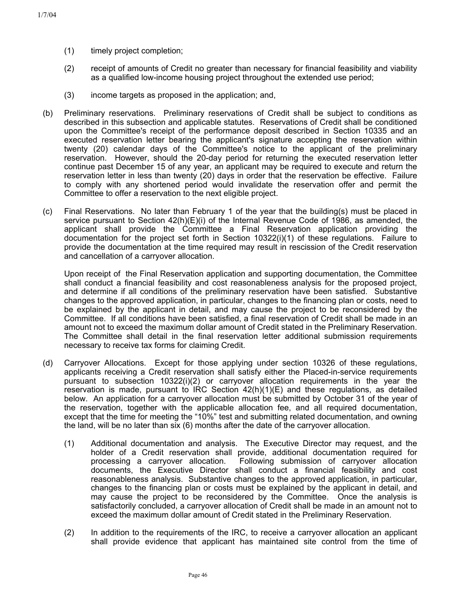- (1) timely project completion;
- (2) receipt of amounts of Credit no greater than necessary for financial feasibility and viability as a qualified low-income housing project throughout the extended use period;
- (3) income targets as proposed in the application; and,
- (b) Preliminary reservations. Preliminary reservations of Credit shall be subject to conditions as described in this subsection and applicable statutes. Reservations of Credit shall be conditioned upon the Committee's receipt of the performance deposit described in Section 10335 and an executed reservation letter bearing the applicant's signature accepting the reservation within twenty (20) calendar days of the Committee's notice to the applicant of the preliminary reservation. However, should the 20-day period for returning the executed reservation letter continue past December 15 of any year, an applicant may be required to execute and return the reservation letter in less than twenty (20) days in order that the reservation be effective. Failure to comply with any shortened period would invalidate the reservation offer and permit the Committee to offer a reservation to the next eligible project.
- (c) Final Reservations. No later than February 1 of the year that the building(s) must be placed in service pursuant to Section 42(h)(E)(i) of the Internal Revenue Code of 1986, as amended, the applicant shall provide the Committee a Final Reservation application providing the documentation for the project set forth in Section 10322(i)(1) of these regulations. Failure to provide the documentation at the time required may result in rescission of the Credit reservation and cancellation of a carryover allocation.

Upon receipt of the Final Reservation application and supporting documentation, the Committee shall conduct a financial feasibility and cost reasonableness analysis for the proposed project, and determine if all conditions of the preliminary reservation have been satisfied. Substantive changes to the approved application, in particular, changes to the financing plan or costs, need to be explained by the applicant in detail, and may cause the project to be reconsidered by the Committee. If all conditions have been satisfied, a final reservation of Credit shall be made in an amount not to exceed the maximum dollar amount of Credit stated in the Preliminary Reservation. The Committee shall detail in the final reservation letter additional submission requirements necessary to receive tax forms for claiming Credit.

- (d) Carryover Allocations. Except for those applying under section 10326 of these regulations, applicants receiving a Credit reservation shall satisfy either the Placed-in-service requirements pursuant to subsection 10322(i)(2) or carryover allocation requirements in the year the reservation is made, pursuant to IRC Section  $42(h)(1)(E)$  and these regulations, as detailed below. An application for a carryover allocation must be submitted by October 31 of the year of the reservation, together with the applicable allocation fee, and all required documentation, except that the time for meeting the "10%" test and submitting related documentation, and owning the land, will be no later than six (6) months after the date of the carryover allocation.
	- (1) Additional documentation and analysis. The Executive Director may request, and the holder of a Credit reservation shall provide, additional documentation required for processing a carryover allocation. Following submission of carryover allocation documents, the Executive Director shall conduct a financial feasibility and cost reasonableness analysis. Substantive changes to the approved application, in particular, changes to the financing plan or costs must be explained by the applicant in detail, and may cause the project to be reconsidered by the Committee. Once the analysis is satisfactorily concluded, a carryover allocation of Credit shall be made in an amount not to exceed the maximum dollar amount of Credit stated in the Preliminary Reservation.
	- (2) In addition to the requirements of the IRC, to receive a carryover allocation an applicant shall provide evidence that applicant has maintained site control from the time of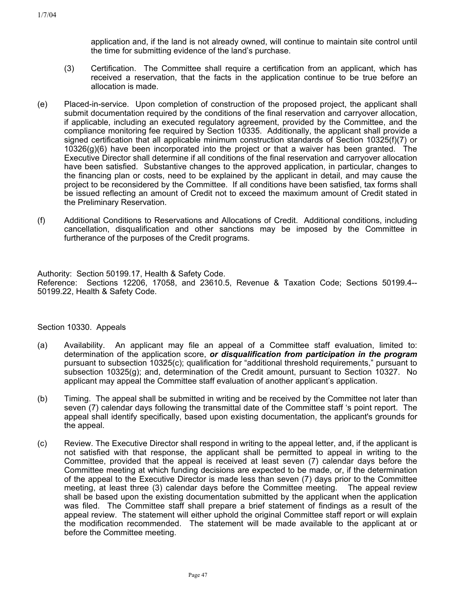application and, if the land is not already owned, will continue to maintain site control until the time for submitting evidence of the land's purchase.

- (3) Certification. The Committee shall require a certification from an applicant, which has received a reservation, that the facts in the application continue to be true before an allocation is made.
- (e) Placed-in-service. Upon completion of construction of the proposed project, the applicant shall submit documentation required by the conditions of the final reservation and carryover allocation, if applicable, including an executed regulatory agreement, provided by the Committee, and the compliance monitoring fee required by Section 10335. Additionally, the applicant shall provide a signed certification that all applicable minimum construction standards of Section 10325(f)(7) or  $10326(q)(6)$  have been incorporated into the project or that a waiver has been granted. The Executive Director shall determine if all conditions of the final reservation and carryover allocation have been satisfied. Substantive changes to the approved application, in particular, changes to the financing plan or costs, need to be explained by the applicant in detail, and may cause the project to be reconsidered by the Committee. If all conditions have been satisfied, tax forms shall be issued reflecting an amount of Credit not to exceed the maximum amount of Credit stated in the Preliminary Reservation.
- (f) Additional Conditions to Reservations and Allocations of Credit. Additional conditions, including cancellation, disqualification and other sanctions may be imposed by the Committee in furtherance of the purposes of the Credit programs.

Authority: Section 50199.17, Health & Safety Code. Reference: Sections 12206, 17058, and 23610.5, Revenue & Taxation Code; Sections 50199.4-- 50199.22, Health & Safety Code.

## Section 10330. Appeals

- (a) Availability. An applicant may file an appeal of a Committee staff evaluation, limited to: determination of the application score, *or disqualification from participation in the program* pursuant to subsection 10325(c); qualification for "additional threshold requirements," pursuant to subsection 10325(g); and, determination of the Credit amount, pursuant to Section 10327. No applicant may appeal the Committee staff evaluation of another applicant's application.
- (b) Timing. The appeal shall be submitted in writing and be received by the Committee not later than seven (7) calendar days following the transmittal date of the Committee staff 's point report. The appeal shall identify specifically, based upon existing documentation, the applicant's grounds for the appeal.
- (c) Review. The Executive Director shall respond in writing to the appeal letter, and, if the applicant is not satisfied with that response, the applicant shall be permitted to appeal in writing to the Committee, provided that the appeal is received at least seven (7) calendar days before the Committee meeting at which funding decisions are expected to be made, or, if the determination of the appeal to the Executive Director is made less than seven (7) days prior to the Committee meeting, at least three (3) calendar days before the Committee meeting. The appeal review shall be based upon the existing documentation submitted by the applicant when the application was filed. The Committee staff shall prepare a brief statement of findings as a result of the appeal review. The statement will either uphold the original Committee staff report or will explain the modification recommended. The statement will be made available to the applicant at or before the Committee meeting.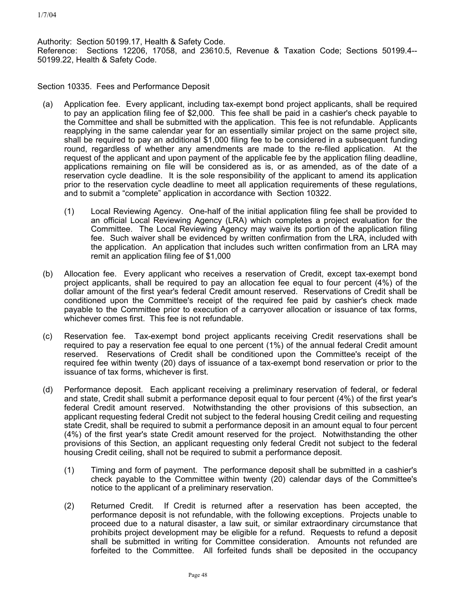Authority: Section 50199.17, Health & Safety Code. Reference: Sections 12206, 17058, and 23610.5, Revenue & Taxation Code; Sections 50199.4-- 50199.22, Health & Safety Code.

Section 10335. Fees and Performance Deposit

- (a) Application fee. Every applicant, including tax-exempt bond project applicants, shall be required to pay an application filing fee of \$2,000. This fee shall be paid in a cashier's check payable to the Committee and shall be submitted with the application. This fee is not refundable. Applicants reapplying in the same calendar year for an essentially similar project on the same project site, shall be required to pay an additional \$1,000 filing fee to be considered in a subsequent funding round, regardless of whether any amendments are made to the re-filed application. At the request of the applicant and upon payment of the applicable fee by the application filing deadline, applications remaining on file will be considered as is, or as amended, as of the date of a reservation cycle deadline. It is the sole responsibility of the applicant to amend its application prior to the reservation cycle deadline to meet all application requirements of these regulations, and to submit a "complete" application in accordance with Section 10322.
	- (1) Local Reviewing Agency. One-half of the initial application filing fee shall be provided to an official Local Reviewing Agency (LRA) which completes a project evaluation for the Committee. The Local Reviewing Agency may waive its portion of the application filing fee. Such waiver shall be evidenced by written confirmation from the LRA, included with the application. An application that includes such written confirmation from an LRA may remit an application filing fee of \$1,000
- (b) Allocation fee. Every applicant who receives a reservation of Credit, except tax-exempt bond project applicants, shall be required to pay an allocation fee equal to four percent (4%) of the dollar amount of the first year's federal Credit amount reserved. Reservations of Credit shall be conditioned upon the Committee's receipt of the required fee paid by cashier's check made payable to the Committee prior to execution of a carryover allocation or issuance of tax forms, whichever comes first. This fee is not refundable.
- (c) Reservation fee. Tax-exempt bond project applicants receiving Credit reservations shall be required to pay a reservation fee equal to one percent (1%) of the annual federal Credit amount reserved. Reservations of Credit shall be conditioned upon the Committee's receipt of the required fee within twenty (20) days of issuance of a tax-exempt bond reservation or prior to the issuance of tax forms, whichever is first.
- (d) Performance deposit. Each applicant receiving a preliminary reservation of federal, or federal and state, Credit shall submit a performance deposit equal to four percent (4%) of the first year's federal Credit amount reserved. Notwithstanding the other provisions of this subsection, an applicant requesting federal Credit not subject to the federal housing Credit ceiling and requesting state Credit, shall be required to submit a performance deposit in an amount equal to four percent (4%) of the first year's state Credit amount reserved for the project. Notwithstanding the other provisions of this Section, an applicant requesting only federal Credit not subject to the federal housing Credit ceiling, shall not be required to submit a performance deposit.
	- (1) Timing and form of payment. The performance deposit shall be submitted in a cashier's check payable to the Committee within twenty (20) calendar days of the Committee's notice to the applicant of a preliminary reservation.
	- (2) Returned Credit. If Credit is returned after a reservation has been accepted, the performance deposit is not refundable, with the following exceptions. Projects unable to proceed due to a natural disaster, a law suit, or similar extraordinary circumstance that prohibits project development may be eligible for a refund. Requests to refund a deposit shall be submitted in writing for Committee consideration. Amounts not refunded are forfeited to the Committee. All forfeited funds shall be deposited in the occupancy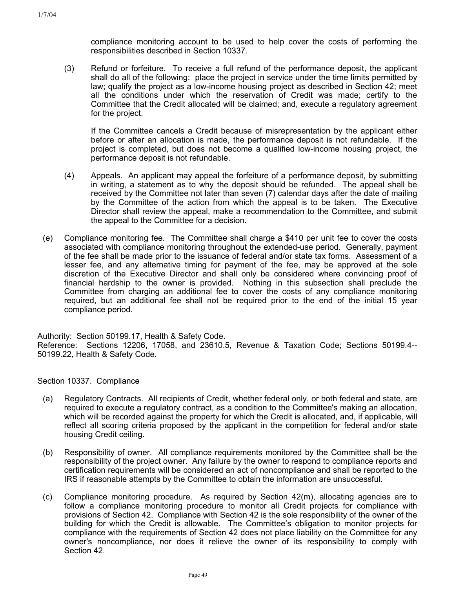compliance monitoring account to be used to help cover the costs of performing the responsibilities described in Section 10337.

(3) Refund or forfeiture. To receive a full refund of the performance deposit, the applicant shall do all of the following: place the project in service under the time limits permitted by law; qualify the project as a low-income housing project as described in Section 42; meet all the conditions under which the reservation of Credit was made; certify to the Committee that the Credit allocated will be claimed; and, execute a regulatory agreement for the project.

If the Committee cancels a Credit because of misrepresentation by the applicant either before or after an allocation is made, the performance deposit is not refundable. If the project is completed, but does not become a qualified low-income housing project, the performance deposit is not refundable.

- (4) Appeals. An applicant may appeal the forfeiture of a performance deposit, by submitting in writing, a statement as to why the deposit should be refunded. The appeal shall be received by the Committee not later than seven (7) calendar days after the date of mailing by the Committee of the action from which the appeal is to be taken. The Executive Director shall review the appeal, make a recommendation to the Committee, and submit the appeal to the Committee for a decision.
- (e) Compliance monitoring fee. The Committee shall charge a \$410 per unit fee to cover the costs associated with compliance monitoring throughout the extended-use period. Generally, payment of the fee shall be made prior to the issuance of federal and/or state tax forms. Assessment of a lesser fee, and any alternative timing for payment of the fee, may be approved at the sole discretion of the Executive Director and shall only be considered where convincing proof of financial hardship to the owner is provided. Nothing in this subsection shall preclude the Committee from charging an additional fee to cover the costs of any compliance monitoring required, but an additional fee shall not be required prior to the end of the initial 15 year compliance period.

Authority: Section 50199.17, Health & Safety Code. Reference: Sections 12206, 17058, and 23610.5, Revenue & Taxation Code; Sections 50199.4-- 50199.22, Health & Safety Code.

Section 10337. Compliance

- (a) Regulatory Contracts. All recipients of Credit, whether federal only, or both federal and state, are required to execute a regulatory contract, as a condition to the Committee's making an allocation, which will be recorded against the property for which the Credit is allocated, and, if applicable, will reflect all scoring criteria proposed by the applicant in the competition for federal and/or state housing Credit ceiling.
- (b) Responsibility of owner. All compliance requirements monitored by the Committee shall be the responsibility of the project owner. Any failure by the owner to respond to compliance reports and certification requirements will be considered an act of noncompliance and shall be reported to the IRS if reasonable attempts by the Committee to obtain the information are unsuccessful.
- (c) Compliance monitoring procedure. As required by Section 42(m), allocating agencies are to follow a compliance monitoring procedure to monitor all Credit projects for compliance with provisions of Section 42. Compliance with Section 42 is the sole responsibility of the owner of the building for which the Credit is allowable. The Committee's obligation to monitor projects for compliance with the requirements of Section 42 does not place liability on the Committee for any owner's noncompliance, nor does it relieve the owner of its responsibility to comply with Section 42.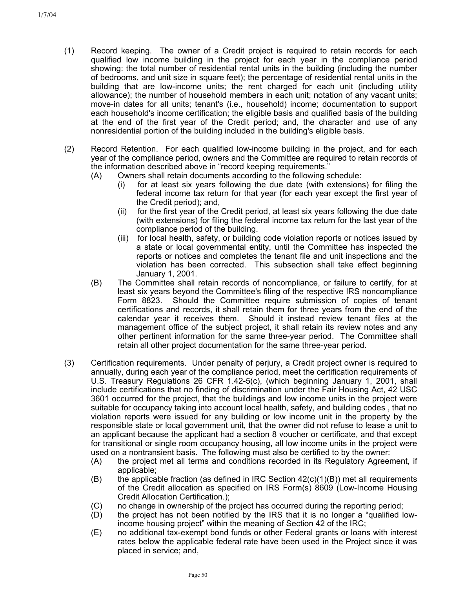- (1) Record keeping. The owner of a Credit project is required to retain records for each qualified low income building in the project for each year in the compliance period showing: the total number of residential rental units in the building (including the number of bedrooms, and unit size in square feet); the percentage of residential rental units in the building that are low-income units; the rent charged for each unit (including utility allowance); the number of household members in each unit; notation of any vacant units; move-in dates for all units; tenant's (i.e., household) income; documentation to support each household's income certification; the eligible basis and qualified basis of the building at the end of the first year of the Credit period; and, the character and use of any nonresidential portion of the building included in the building's eligible basis.
- (2) Record Retention. For each qualified low-income building in the project, and for each year of the compliance period, owners and the Committee are required to retain records of the information described above in "record keeping requirements."
	- (A) Owners shall retain documents according to the following schedule:
		- (i) for at least six years following the due date (with extensions) for filing the federal income tax return for that year (for each year except the first year of the Credit period); and,
		- (ii) for the first year of the Credit period, at least six years following the due date (with extensions) for filing the federal income tax return for the last year of the compliance period of the building.
		- (iii) for local health, safety, or building code violation reports or notices issued by a state or local governmental entity, until the Committee has inspected the reports or notices and completes the tenant file and unit inspections and the violation has been corrected. This subsection shall take effect beginning January 1, 2001.
	- (B) The Committee shall retain records of noncompliance, or failure to certify, for at least six years beyond the Committee's filing of the respective IRS noncompliance Form 8823. Should the Committee require submission of copies of tenant certifications and records, it shall retain them for three years from the end of the calendar year it receives them. Should it instead review tenant files at the management office of the subject project, it shall retain its review notes and any other pertinent information for the same three-year period. The Committee shall retain all other project documentation for the same three-year period.
- (3) Certification requirements. Under penalty of perjury, a Credit project owner is required to annually, during each year of the compliance period, meet the certification requirements of U.S. Treasury Regulations 26 CFR 1.42-5(c), (which beginning January 1, 2001, shall include certifications that no finding of discrimination under the Fair Housing Act, 42 USC 3601 occurred for the project, that the buildings and low income units in the project were suitable for occupancy taking into account local health, safety, and building codes , that no violation reports were issued for any building or low income unit in the property by the responsible state or local government unit, that the owner did not refuse to lease a unit to an applicant because the applicant had a section 8 voucher or certificate, and that except for transitional or single room occupancy housing, all low income units in the project were used on a nontransient basis. The following must also be certified to by the owner:
	- (A) the project met all terms and conditions recorded in its Regulatory Agreement, if applicable;
	- $(B)$  the applicable fraction (as defined in IRC Section 42(c)(1)(B)) met all requirements of the Credit allocation as specified on IRS Form(s) 8609 (Low-Income Housing Credit Allocation Certification.);
	- (C) no change in ownership of the project has occurred during the reporting period;
	- (D) the project has not been notified by the IRS that it is no longer a "qualified lowincome housing project" within the meaning of Section 42 of the IRC;
	- (E) no additional tax-exempt bond funds or other Federal grants or loans with interest rates below the applicable federal rate have been used in the Project since it was placed in service; and,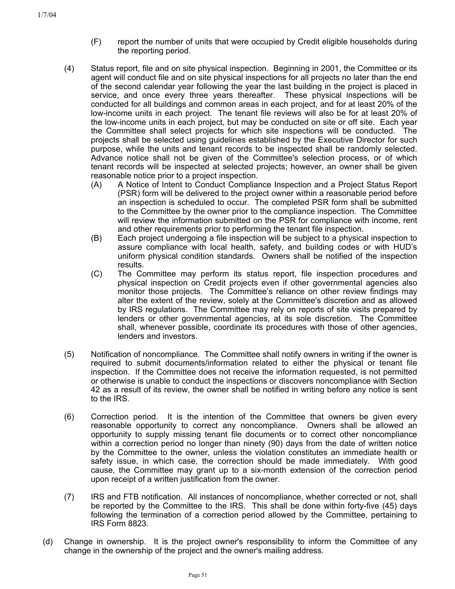- (F) report the number of units that were occupied by Credit eligible households during the reporting period.
- (4) Status report, file and on site physical inspection. Beginning in 2001, the Committee or its agent will conduct file and on site physical inspections for all projects no later than the end of the second calendar year following the year the last building in the project is placed in service, and once every three years thereafter. These physical inspections will be conducted for all buildings and common areas in each project, and for at least 20% of the low-income units in each project. The tenant file reviews will also be for at least 20% of the low-income units in each project, but may be conducted on site or off site. Each year the Committee shall select projects for which site inspections will be conducted. The projects shall be selected using guidelines established by the Executive Director for such purpose, while the units and tenant records to be inspected shall be randomly selected. Advance notice shall not be given of the Committee's selection process, or of which tenant records will be inspected at selected projects; however, an owner shall be given reasonable notice prior to a project inspection.
	- (A) A Notice of Intent to Conduct Compliance Inspection and a Project Status Report (PSR) form will be delivered to the project owner within a reasonable period before an inspection is scheduled to occur. The completed PSR form shall be submitted to the Committee by the owner prior to the compliance inspection. The Committee will review the information submitted on the PSR for compliance with income, rent and other requirements prior to performing the tenant file inspection.
	- (B) Each project undergoing a file inspection will be subject to a physical inspection to assure compliance with local health, safety, and building codes or with HUD's uniform physical condition standards. Owners shall be notified of the inspection results.
	- (C) The Committee may perform its status report, file inspection procedures and physical inspection on Credit projects even if other governmental agencies also monitor those projects. The Committee's reliance on other review findings may alter the extent of the review, solely at the Committee's discretion and as allowed by IRS regulations. The Committee may rely on reports of site visits prepared by lenders or other governmental agencies, at its sole discretion. The Committee shall, whenever possible, coordinate its procedures with those of other agencies, lenders and investors.
- (5) Notification of noncompliance. The Committee shall notify owners in writing if the owner is required to submit documents/information related to either the physical or tenant file inspection. If the Committee does not receive the information requested, is not permitted or otherwise is unable to conduct the inspections or discovers noncompliance with Section 42 as a result of its review, the owner shall be notified in writing before any notice is sent to the IRS.
- (6) Correction period. It is the intention of the Committee that owners be given every reasonable opportunity to correct any noncompliance. Owners shall be allowed an opportunity to supply missing tenant file documents or to correct other noncompliance within a correction period no longer than ninety (90) days from the date of written notice by the Committee to the owner, unless the violation constitutes an immediate health or safety issue, in which case, the correction should be made immediately. With good cause, the Committee may grant up to a six-month extension of the correction period upon receipt of a written justification from the owner.
- (7) IRS and FTB notification. All instances of noncompliance, whether corrected or not, shall be reported by the Committee to the IRS. This shall be done within forty-five (45) days following the termination of a correction period allowed by the Committee, pertaining to IRS Form 8823.
- (d) Change in ownership. It is the project owner's responsibility to inform the Committee of any change in the ownership of the project and the owner's mailing address.